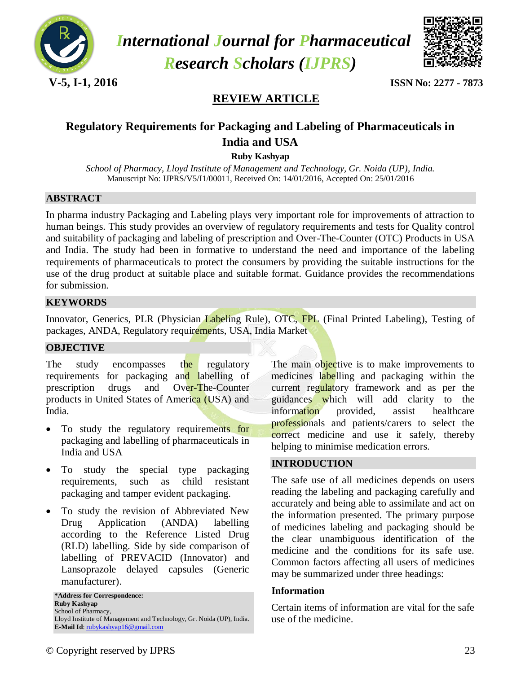

 *International Journal for Pharmaceutical Research Scholars (IJPRS)*



**V-5, I-1, 2016 ISSN No: 2277 - 7873**

# **REVIEW ARTICLE**

# **Regulatory Requirements for Packaging and Labeling of Pharmaceuticals in India and USA**

**Ruby Kashyap**

*School of Pharmacy, Lloyd Institute of Management and Technology, Gr. Noida (UP), India.* Manuscript No: IJPRS/V5/I1/00011, Received On: 14/01/2016, Accepted On: 25/01/2016

#### **ABSTRACT**

In pharma industry Packaging and Labeling plays very important role for improvements of attraction to human beings. This study provides an overview of regulatory requirements and tests for Quality control and suitability of packaging and labeling of prescription and Over-The-Counter (OTC) Products in USA and India. The study had been in formative to understand the need and importance of the labeling requirements of pharmaceuticals to protect the consumers by providing the suitable instructions for the use of the drug product at suitable place and suitable format. Guidance provides the recommendations for submission.

#### **KEYWORDS**

Innovator, Generics, PLR (Physician Labeling Rule), OTC, FPL (Final Printed Labeling), Testing of packages, ANDA, Regulatory requirements, USA, India Market

#### **OBJECTIVE**

The study encompasses the regulatory requirements for packaging and labelling of prescription drugs and Over-The-Counter products in United States of America (USA) and India.

- To study the regulatory requirements for packaging and labelling of pharmaceuticals in India and USA
- To study the special type packaging requirements, such as child resistant packaging and tamper evident packaging.
- To study the revision of Abbreviated New Drug Application (ANDA) labelling according to the Reference Listed Drug (RLD) labelling. Side by side comparison of labelling of PREVACID (Innovator) and Lansoprazole delayed capsules (Generic manufacturer).

**\*Address for Correspondence: Ruby Kashyap** School of Pharmacy, Lloyd Institute of Management and Technology, Gr. Noida (UP), India. E-Mail Id: [rubykashyap16@gmail.com](mailto:rubykashyap16@gmail.com)

The main objective is to make improvements to medicines labelling and packaging within the current regulatory framework and as per the guidances which will add clarity to the information provided, assist healthcare professionals and patients/carers to select the correct medicine and use it safely, thereby helping to minimise medication errors.

#### **INTRODUCTION**

The safe use of all medicines depends on users reading the labeling and packaging carefully and accurately and being able to assimilate and act on the information presented. The primary purpose of medicines labeling and packaging should be the clear unambiguous identification of the medicine and the conditions for its safe use. Common factors affecting all users of medicines may be summarized under three headings:

#### **Information**

Certain items of information are vital for the safe use of the medicine.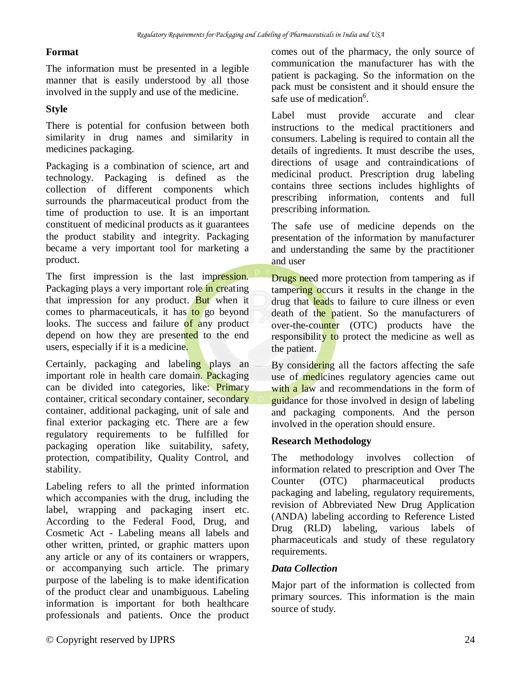#### **Format**

The information must be presented in a legible manner that is easily understood by all those involved in the supply and use of the medicine.

## **Style**

There is potential for confusion between both similarity in drug names and similarity in medicines packaging.

Packaging is a combination of science, art and technology. Packaging is defined as the collection of different components which surrounds the pharmaceutical product from the time of production to use. It is an important constituent of medicinal products as it guarantees the product stability and integrity. Packaging became a very important tool for marketing a product.

The first impression is the last impression. Packaging plays a very important role in creating that impression for any product. But when it comes to pharmaceuticals, it has to go beyond looks. The success and failure of any product depend on how they are presented to the end users, especially if it is a medicine.

Certainly, packaging and labeling plays an important role in health care domain. Packaging can be divided into categories, like: Primary container, critical secondary container, secondary container, additional packaging, unit of sale and final exterior packaging etc. There are a few regulatory requirements to be fulfilled for packaging operation like suitability, safety, protection, compatibility, Quality Control, and stability.

Labeling refers to all the printed information which accompanies with the drug, including the label, wrapping and packaging insert etc. According to the Federal Food, Drug, and Cosmetic Act - Labeling means all labels and other written, printed, or graphic matters upon any article or any of its containers or wrappers, or accompanying such article. The primary purpose of the labeling is to make identification of the product clear and unambiguous. Labeling information is important for both healthcare professionals and patients. Once the product comes out of the pharmacy, the only source of communication the manufacturer has with the patient is packaging. So the information on the pack must be consistent and it should ensure the safe use of medication<sup>6</sup>.

Label must provide accurate and clear instructions to the medical practitioners and consumers. Labeling is required to contain all the details of ingredients. It must describe the uses, directions of usage and contraindications of medicinal product. Prescription drug labeling contains three sections includes highlights of prescribing information, contents and full prescribing information.

The safe use of medicine depends on the presentation of the information by manufacturer and understanding the same by the practitioner and user

Drugs need more protection from tampering as if tampering occurs it results in the change in the drug that **lead**s to failure to cure illness or even death of the patient. So the manufacturers of over-the-counter (OTC) products have the responsibility to protect the medicine as well as the patient.

By considering all the factors affecting the safe use of medicines regulatory agencies came out with a law and recommendations in the form of guidance for those involved in design of labeling and packaging components. And the person involved in the operation should ensure.

## **Research Methodology**

The methodology involves collection of information related to prescription and Over The Counter (OTC) pharmaceutical products packaging and labeling, regulatory requirements, revision of Abbreviated New Drug Application (ANDA) labeling according to Reference Listed Drug (RLD) labeling, various labels of pharmaceuticals and study of these regulatory requirements.

## *Data Collection*

Major part of the information is collected from primary sources. This information is the main source of study.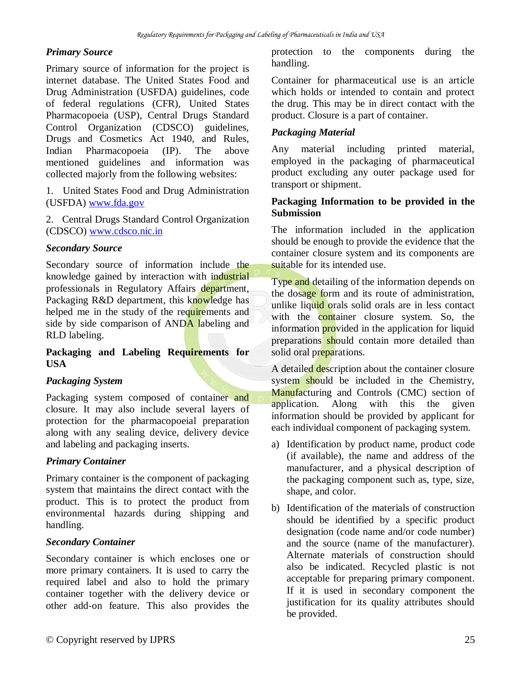#### *Primary Source*

Primary source of information for the project is internet database. The United States Food and Drug Administration (USFDA) guidelines, code of federal regulations (CFR), United States Pharmacopoeia (USP), Central Drugs Standard Control Organization (CDSCO) guidelines, Drugs and Cosmetics Act 1940, and Rules, Indian Pharmacopoeia (IP). The above mentioned guidelines and information was collected majorly from the following websites:

1. United States Food and Drug Administration (USFDA) [www.fda.gov](http://www.fda.gov/)

2. Central Drugs Standard Control Organization (CDSCO) [www.cdsco.nic.in](http://www.cdsco.nic.in/)

#### *Secondary Source*

Secondary source of information include the knowledge gained by interaction with industrial professionals in Regulatory Affairs department, Packaging R&D department, this knowledge has helped me in the study of the requirements and side by side comparison of ANDA labeling and RLD labeling.

#### **Packaging and Labeling Requirements for USA**

## *Packaging System*

Packaging system composed of container and closure. It may also include several layers of protection for the pharmacopoeial preparation along with any sealing device, delivery device and labeling and packaging inserts.

## *Primary Container*

Primary container is the component of packaging system that maintains the direct contact with the product. This is to protect the product from environmental hazards during shipping and handling.

## *Secondary Container*

Secondary container is which encloses one or more primary containers. It is used to carry the required label and also to hold the primary container together with the delivery device or other add-on feature. This also provides the

protection to the components during the handling.

Container for pharmaceutical use is an article which holds or intended to contain and protect the drug. This may be in direct contact with the product. Closure is a part of container.

## *Packaging Material*

Any material including printed material, employed in the packaging of pharmaceutical product excluding any outer package used for transport or shipment.

#### **Packaging Information to be provided in the Submission**

The information included in the application should be enough to provide the evidence that the container closure system and its components are suitable for its intended use.

Type and detailing of the information depends on the dosage form and its route of administration, unlike liquid orals solid orals are in less contact with the container closure system. So, the information provided in the application for liquid preparations should contain more detailed than solid oral preparations.

A detailed description about the container closure system should be included in the Chemistry, Manufacturing and Controls (CMC) section of application. Along with this the given information should be provided by applicant for each individual component of packaging system.

- a) Identification by product name, product code (if available), the name and address of the manufacturer, and a physical description of the packaging component such as, type, size, shape, and color.
- b) Identification of the materials of construction should be identified by a specific product designation (code name and/or code number) and the source (name of the manufacturer). Alternate materials of construction should also be indicated. Recycled plastic is not acceptable for preparing primary component. If it is used in secondary component the justification for its quality attributes should be provided.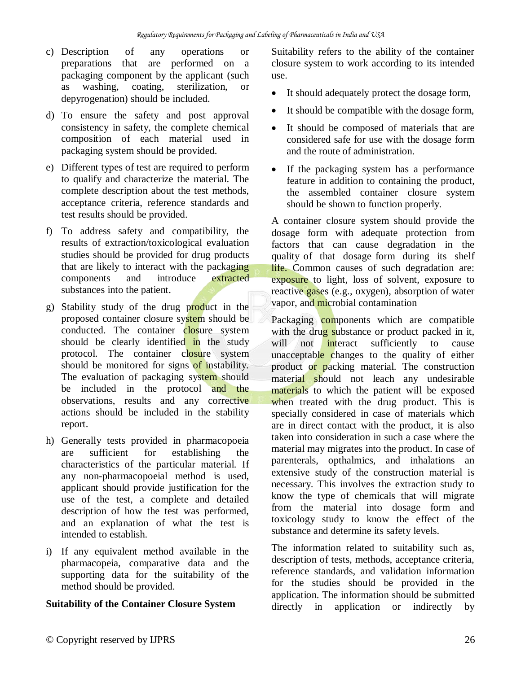- c) Description of any operations or preparations that are performed on a packaging component by the applicant (such as washing, coating, sterilization, or depyrogenation) should be included.
- d) To ensure the safety and post approval consistency in safety, the complete chemical composition of each material used in packaging system should be provided.
- e) Different types of test are required to perform to qualify and characterize the material. The complete description about the test methods, acceptance criteria, reference standards and test results should be provided.
- f) To address safety and compatibility, the results of extraction/toxicological evaluation studies should be provided for drug products that are likely to interact with the packaging components and introduce extracted substances into the patient.
- g) Stability study of the drug product in the proposed container closure system should be conducted. The container closure system should be clearly identified in the study protocol. The container closure system should be monitored for signs of instability. The evaluation of packaging system should be included in the protocol and the observations, results and any corrective actions should be included in the stability report.
- h) Generally tests provided in pharmacopoeia are sufficient for establishing the characteristics of the particular material. If any non-pharmacopoeial method is used, applicant should provide justification for the use of the test, a complete and detailed description of how the test was performed, and an explanation of what the test is intended to establish.
- i) If any equivalent method available in the pharmacopeia, comparative data and the supporting data for the suitability of the method should be provided.

## **Suitability of the Container Closure System**

Suitability refers to the ability of the container closure system to work according to its intended use.

- It should adequately protect the dosage form,
- It should be compatible with the dosage form,
- It should be composed of materials that are considered safe for use with the dosage form and the route of administration.
- If the packaging system has a performance feature in addition to containing the product, the assembled container closure system should be shown to function properly.

A container closure system should provide the dosage form with adequate protection from factors that can cause degradation in the quality of that dosage form during its shelf life. Common causes of such degradation are: exposure to light, loss of solvent, exposure to reactive gases (e.g., oxygen), absorption of water vapor, and microbial contamination

Packaging components which are compatible with the drug substance or product packed in it, will not interact sufficiently to cause unacceptable changes to the quality of either product or packing material. The construction material should not leach any undesirable materials to which the patient will be exposed when treated with the drug product. This is specially considered in case of materials which are in direct contact with the product, it is also taken into consideration in such a case where the material may migrates into the product. In case of parenterals, opthalmics, and inhalations an extensive study of the construction material is necessary. This involves the extraction study to know the type of chemicals that will migrate from the material into dosage form and toxicology study to know the effect of the substance and determine its safety levels.

The information related to suitability such as, description of tests, methods, acceptance criteria, reference standards, and validation information for the studies should be provided in the application. The information should be submitted directly in application or indirectly by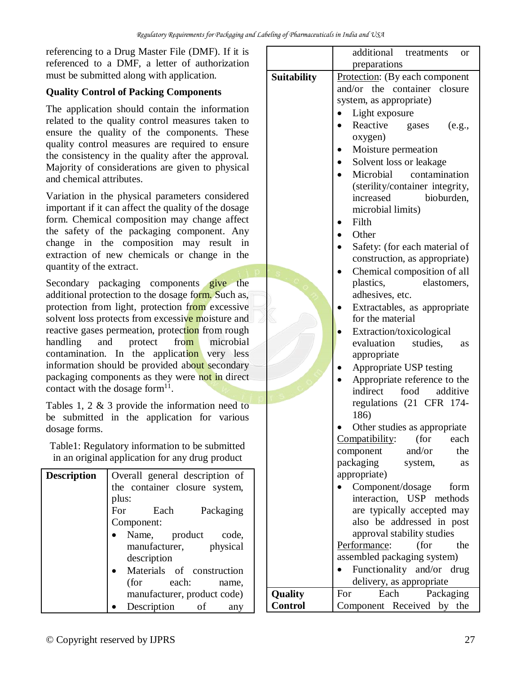referencing to a Drug Master File (DMF). If it is referenced to a DMF, a letter of authorization must be submitted along with application.

## **Quality Control of Packing Components**

The application should contain the information related to the quality control measures taken to ensure the quality of the components. These quality control measures are required to ensure the consistency in the quality after the approval. Majority of considerations are given to physical and chemical attributes.

Variation in the physical parameters considered important if it can affect the quality of the dosage form. Chemical composition may change affect the safety of the packaging component. Any change in the composition may result in extraction of new chemicals or change in the quantity of the extract.

Secondary packaging components give the additional protection to the dosage form. Such as, protection from light, protection from excessive solvent loss protects from excessive moisture and reactive gases permeation, protection from rough handling and protect from microbial contamination. In the application very less information should be provided about secondary packaging components as they were not in direct contact with the dosage form $11$ .

Tables 1, 2 & 3 provide the information need to be submitted in the application for various dosage forms.

Table1: Regulatory information to be submitted in an original application for any drug product

| <b>Description</b> | Overall general description of<br>the container closure system,<br>plus: |  |  |
|--------------------|--------------------------------------------------------------------------|--|--|
|                    | For<br>Each<br>Packaging                                                 |  |  |
|                    | Component:                                                               |  |  |
|                    | Name, product code,                                                      |  |  |
|                    | manufacturer, physical                                                   |  |  |
|                    | description                                                              |  |  |
|                    | Materials of construction                                                |  |  |
|                    | (for<br>each:<br>name.                                                   |  |  |
|                    | manufacturer, product code)                                              |  |  |
|                    | Description<br>οf<br>any                                                 |  |  |

|                    | additional<br>treatments<br>or                   |  |  |  |  |
|--------------------|--------------------------------------------------|--|--|--|--|
|                    | preparations                                     |  |  |  |  |
| <b>Suitability</b> | Protection: (By each component                   |  |  |  |  |
|                    | and/or the container<br>closure                  |  |  |  |  |
|                    | system, as appropriate)                          |  |  |  |  |
|                    | Light exposure                                   |  |  |  |  |
|                    | Reactive<br>gases<br>(e.g.,                      |  |  |  |  |
|                    | oxygen)                                          |  |  |  |  |
|                    | Moisture permeation                              |  |  |  |  |
|                    | Solvent loss or leakage                          |  |  |  |  |
|                    | Microbial<br>contamination                       |  |  |  |  |
|                    | (sterility/container integrity,                  |  |  |  |  |
|                    | increased<br>bioburden,                          |  |  |  |  |
|                    | microbial limits)                                |  |  |  |  |
|                    | Filth                                            |  |  |  |  |
|                    | Other                                            |  |  |  |  |
|                    | Safety: (for each material of                    |  |  |  |  |
|                    | construction, as appropriate)                    |  |  |  |  |
|                    | Chemical composition of all                      |  |  |  |  |
|                    | plastics,<br>elastomers,                         |  |  |  |  |
|                    | adhesives, etc.                                  |  |  |  |  |
|                    |                                                  |  |  |  |  |
|                    | Extractables, as appropriate<br>for the material |  |  |  |  |
|                    | Extraction/toxicological                         |  |  |  |  |
|                    |                                                  |  |  |  |  |
|                    | evaluation<br>studies,<br>as                     |  |  |  |  |
|                    | appropriate                                      |  |  |  |  |
|                    | Appropriate USP testing                          |  |  |  |  |
|                    | Appropriate reference to the                     |  |  |  |  |
|                    | indirect<br>food<br>additive                     |  |  |  |  |
|                    | regulations (21 CFR 174-                         |  |  |  |  |
|                    | 186)                                             |  |  |  |  |
|                    | Other studies as appropriate                     |  |  |  |  |
|                    | Compatibility: (for<br>each<br>and/or            |  |  |  |  |
|                    | the<br>component                                 |  |  |  |  |
|                    | packaging<br>system,<br>as                       |  |  |  |  |
|                    | appropriate)                                     |  |  |  |  |
|                    | Component/dosage<br>form                         |  |  |  |  |
|                    | interaction, USP methods                         |  |  |  |  |
|                    | are typically accepted may                       |  |  |  |  |
|                    | also be addressed in post                        |  |  |  |  |
|                    | approval stability studies                       |  |  |  |  |
|                    | Performance:<br>(for<br>the                      |  |  |  |  |
|                    | assembled packaging system)                      |  |  |  |  |
|                    | Functionality and/or drug                        |  |  |  |  |
|                    | delivery, as appropriate                         |  |  |  |  |
| <b>Quality</b>     | Each<br>For<br>Packaging                         |  |  |  |  |
| <b>Control</b>     | Component Received by<br>the                     |  |  |  |  |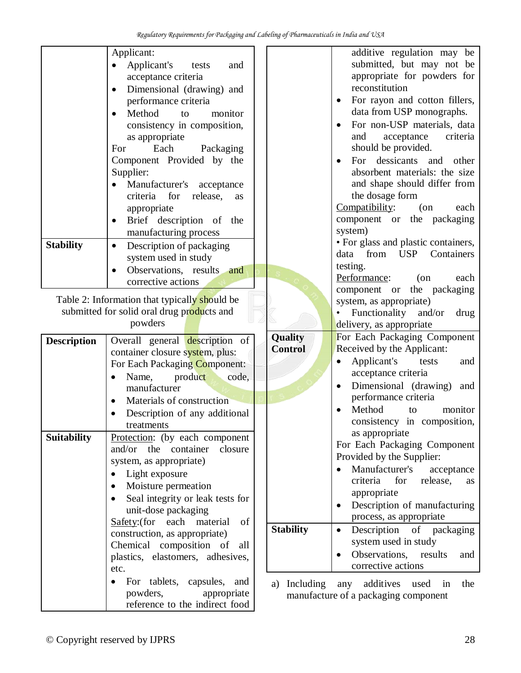| <b>Stability</b>   | Applicant:<br>Applicant's<br>tests<br>and<br>acceptance criteria<br>Dimensional (drawing) and<br>$\bullet$<br>performance criteria<br>Method<br>monitor<br>to<br>$\bullet$<br>consistency in composition,<br>as appropriate<br>Each<br>Packaging<br>For<br>Component Provided by the<br>Supplier:<br>Manufacturer's acceptance<br>$\bullet$<br>criteria for<br>release,<br>as<br>appropriate<br>Brief description of the<br>$\bullet$<br>manufacturing process<br>Description of packaging<br>$\bullet$<br>system used in study |                           | additive regulation may be<br>submitted, but may not be<br>appropriate for powders for<br>reconstitution<br>For rayon and cotton fillers,<br>data from USP monographs.<br>For non-USP materials, data<br>criteria<br>and<br>acceptance<br>should be provided.<br>For dessicants and<br>other<br>absorbent materials: the size<br>and shape should differ from<br>the dosage form<br>Compatibility:<br>$($ on<br>each<br>component or the packaging<br>system)<br>• For glass and plastic containers,<br>from USP Containers<br>data |
|--------------------|---------------------------------------------------------------------------------------------------------------------------------------------------------------------------------------------------------------------------------------------------------------------------------------------------------------------------------------------------------------------------------------------------------------------------------------------------------------------------------------------------------------------------------|---------------------------|-------------------------------------------------------------------------------------------------------------------------------------------------------------------------------------------------------------------------------------------------------------------------------------------------------------------------------------------------------------------------------------------------------------------------------------------------------------------------------------------------------------------------------------|
|                    | Observations, results and<br>corrective actions                                                                                                                                                                                                                                                                                                                                                                                                                                                                                 |                           | testing.<br>Performance:<br>$($ on<br>each<br>component or the packaging                                                                                                                                                                                                                                                                                                                                                                                                                                                            |
|                    | Table 2: Information that typically should be<br>submitted for solid oral drug products and<br>powders                                                                                                                                                                                                                                                                                                                                                                                                                          |                           | system, as appropriate)<br>Functionality and/or<br>drug<br>delivery, as appropriate                                                                                                                                                                                                                                                                                                                                                                                                                                                 |
| <b>Description</b> | Overall general description of<br>container closure system, plus:<br>For Each Packaging Component:<br>product<br>Name,<br>code,<br>manufacturer<br>Materials of construction<br>$\bullet$<br>Description of any additional<br>treatments                                                                                                                                                                                                                                                                                        | Quality<br><b>Control</b> | For Each Packaging Component<br>Received by the Applicant:<br>Applicant's<br>tests<br>and<br>acceptance criteria<br>Dimensional (drawing)<br>and<br>performance criteria<br>Method<br>monitor<br>to<br>consistency in composition,                                                                                                                                                                                                                                                                                                  |
| <b>Suitability</b> | Protection: (by each component<br>and/or the container<br>closure<br>system, as appropriate)<br>Light exposure<br>Moisture permeation<br>٠<br>Seal integrity or leak tests for<br>unit-dose packaging<br>Safety: (for each material<br>of<br>construction, as appropriate)<br>Chemical composition of<br>all<br>plastics, elastomers, adhesives,<br>etc.                                                                                                                                                                        | <b>Stability</b>          | as appropriate<br>For Each Packaging Component<br>Provided by the Supplier:<br>Manufacturer's<br>acceptance<br>criteria<br>for<br>release,<br>as<br>appropriate<br>Description of manufacturing<br>process, as appropriate<br>Description of packaging<br>$\bullet$<br>system used in study<br>Observations, results<br>and<br>corrective actions                                                                                                                                                                                   |
|                    | For tablets, capsules, and<br>powders,<br>appropriate                                                                                                                                                                                                                                                                                                                                                                                                                                                                           | a) Including              | any additives used<br>the<br>in<br>manufacture of a packaging component                                                                                                                                                                                                                                                                                                                                                                                                                                                             |

reference to the indirect food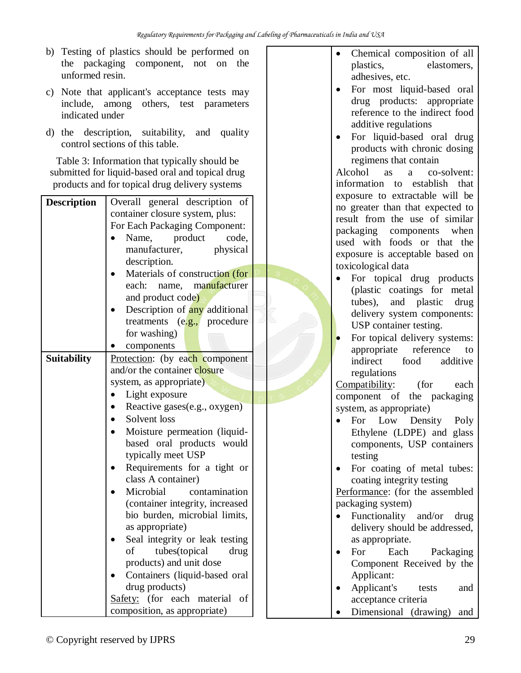- b) Testing of plastics should be performed on the packaging component, not on the unformed resin.
- c) Note that applicant's acceptance tests may include, among others, test parameters indicated under
- d) the description, suitability, and quality control sections of this table.

Table 3: Information that typically should be submitted for liquid-based oral and topical drug products and for topical drug delivery systems

| <b>Description</b> | Overall general description of   |  |  |
|--------------------|----------------------------------|--|--|
|                    | container closure system, plus:  |  |  |
|                    | For Each Packaging Component:    |  |  |
|                    | product<br>Name,<br>code,        |  |  |
|                    | manufacturer,<br>physical        |  |  |
|                    | description.                     |  |  |
|                    | Materials of construction (for   |  |  |
|                    | manufacturer<br>each:<br>name,   |  |  |
|                    | and product code)                |  |  |
|                    | Description of any additional    |  |  |
|                    | treatments (e.g., procedure      |  |  |
|                    | for washing)                     |  |  |
|                    | components                       |  |  |
| Suitability        | Protection: (by each component   |  |  |
|                    | and/or the container closure     |  |  |
|                    | system, as appropriate)          |  |  |
|                    | Light exposure                   |  |  |
|                    | Reactive gases(e.g., oxygen)     |  |  |
|                    | Solvent loss                     |  |  |
|                    | Moisture permeation (liquid-     |  |  |
|                    | based oral products would        |  |  |
|                    | typically meet USP               |  |  |
|                    | Requirements for a tight or      |  |  |
|                    | class A container)               |  |  |
|                    | Microbial<br>contamination       |  |  |
|                    | (container integrity, increased  |  |  |
|                    | bio burden, microbial limits,    |  |  |
|                    | as appropriate)                  |  |  |
|                    | Seal integrity or leak testing   |  |  |
|                    | tubes(topical<br>drug<br>of      |  |  |
|                    | products) and unit dose          |  |  |
|                    | Containers (liquid-based oral    |  |  |
|                    | drug products)                   |  |  |
|                    | Safety: (for each material<br>of |  |  |
|                    | composition, as appropriate)     |  |  |

- Chemical composition of all plastics, elastomers, adhesives, etc.
- For most liquid-based oral drug products: appropriate reference to the indirect food additive regulations
- For liquid-based oral drug products with chronic dosing regimens that contain

Alcohol as a co-solvent: information to establish that exposure to extractable will be no greater than that expected to result from the use of similar packaging components when used with foods or that the exposure is acceptable based on toxicological data

- For topical drug products (plastic coatings for metal tubes), and plastic drug delivery system components: USP container testing.
- For topical delivery systems: appropriate reference to indirect food additive regulations

Compatibility: (for each component of the packaging system, as appropriate)

- For Low Density Poly Ethylene (LDPE) and glass components, USP containers testing
- For coating of metal tubes: coating integrity testing

Performance: (for the assembled packaging system)

- Functionality and/or drug delivery should be addressed, as appropriate.
- For Each Packaging Component Received by the Applicant:
- Applicant's tests and acceptance criteria
- Dimensional (drawing) and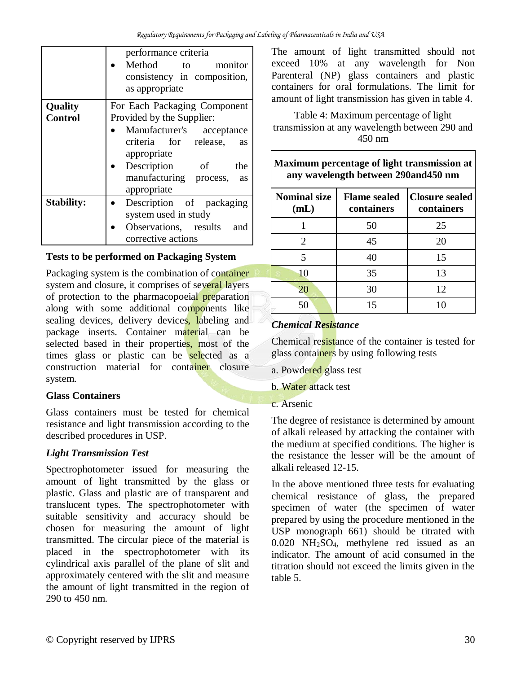|                   | performance criteria                                                  |  |  |
|-------------------|-----------------------------------------------------------------------|--|--|
|                   | Method to<br>monitor<br>consistency in composition,<br>as appropriate |  |  |
| Quality           | For Each Packaging Component                                          |  |  |
| <b>Control</b>    | Provided by the Supplier:                                             |  |  |
|                   | • Manufacturer's acceptance                                           |  |  |
|                   | criteria for release,<br>as                                           |  |  |
|                   | appropriate                                                           |  |  |
|                   | Description of<br>the                                                 |  |  |
|                   | manufacturing process,<br>as                                          |  |  |
|                   | appropriate                                                           |  |  |
| <b>Stability:</b> | Description of packaging                                              |  |  |
|                   | system used in study                                                  |  |  |
|                   | Observations, results<br>and                                          |  |  |
|                   | corrective actions                                                    |  |  |

#### **Tests to be performed on Packaging System**

Packaging system is the combination of container system and closure, it comprises of several layers of protection to the pharmacopoeial preparation along with some additional components like sealing devices, delivery devices, labeling and package inserts. Container material can be selected based in their properties, most of the times glass or plastic can be selected as a construction material for container closure system.

## **Glass Containers**

Glass containers must be tested for chemical resistance and light transmission according to the described procedures in USP.

## *Light Transmission Test*

Spectrophotometer issued for measuring the amount of light transmitted by the glass or plastic. Glass and plastic are of transparent and translucent types. The spectrophotometer with suitable sensitivity and accuracy should be chosen for measuring the amount of light transmitted. The circular piece of the material is placed in the spectrophotometer with its cylindrical axis parallel of the plane of slit and approximately centered with the slit and measure the amount of light transmitted in the region of 290 to 450 nm.

The amount of light transmitted should not exceed 10% at any wavelength for Non Parenteral (NP) glass containers and plastic containers for oral formulations. The limit for amount of light transmission has given in table 4.

Table 4: Maximum percentage of light transmission at any wavelength between 290 and 450 nm

| Maximum percentage of light transmission at<br>any wavelength between 290and450 nm |                                   |                                     |
|------------------------------------------------------------------------------------|-----------------------------------|-------------------------------------|
| <b>Nominal size</b><br>(mL)                                                        | <b>Flame</b> sealed<br>containers | <b>Closure sealed</b><br>containers |
|                                                                                    | 50                                | 25                                  |
| $\mathcal{D}_{\mathcal{L}}$                                                        | 45                                | 20                                  |
| 5                                                                                  | 40                                | 15                                  |
| 10                                                                                 | 35                                | 13                                  |
| 20                                                                                 | 30                                | 12                                  |
| 50                                                                                 | 15                                | 10                                  |

## *Chemical Resistance*

Chemical resistance of the container is tested for glass containers by using following tests

- a. Powdered glass test
- b. Water attack test
- c. Arsenic

The degree of resistance is determined by amount of alkali released by attacking the container with the medium at specified conditions. The higher is the resistance the lesser will be the amount of alkali released 12-15.

In the above mentioned three tests for evaluating chemical resistance of glass, the prepared specimen of water (the specimen of water prepared by using the procedure mentioned in the USP monograph 661) should be titrated with 0.020 NH2SO4, methylene red issued as an indicator. The amount of acid consumed in the titration should not exceed the limits given in the table 5.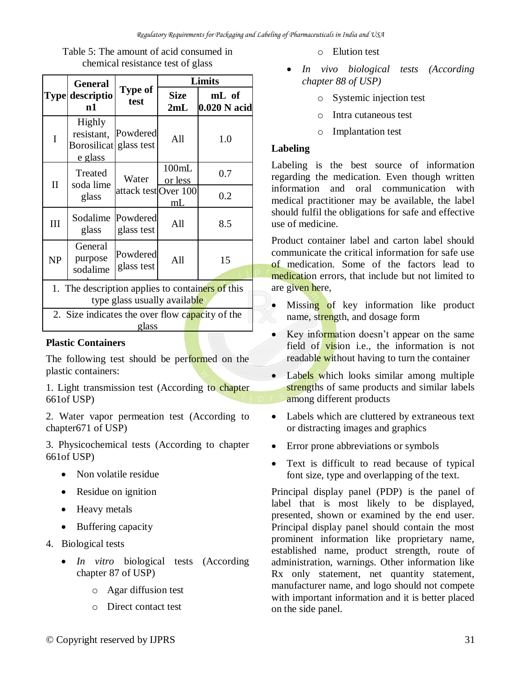|                                                                                  | <b>General</b>                                               |                        |                    | Limits                |
|----------------------------------------------------------------------------------|--------------------------------------------------------------|------------------------|--------------------|-----------------------|
|                                                                                  | Type descriptio<br>n1                                        | Type of<br>test        | <b>Size</b><br>2mL | mL of<br>0.020 N acid |
| I                                                                                | <b>Highly</b><br>resistant,<br><b>Borosilicat</b><br>e glass | Powdered<br>glass test | All                | 1.0                   |
| $\mathbf{I}$                                                                     | Treated<br>soda lime                                         | Water                  | 100mL<br>or less   | 0.7                   |
|                                                                                  | glass                                                        | attack test Over 100   | mL                 | 0.2                   |
| III                                                                              | Sodalime<br>glass                                            | Powdered<br>glass test | All                | 8.5                   |
| <b>NP</b>                                                                        | General<br>purpose<br>sodalime                               | Powdered<br>glass test | All                | 15                    |
| 1. The description applies to containers of this<br>type glass usually available |                                                              |                        |                    |                       |
| 2. Size indicates the over flow capacity of the                                  |                                                              |                        |                    |                       |
| glass                                                                            |                                                              |                        |                    |                       |

Table 5: The amount of acid consumed in chemical resistance test of glass

#### **Plastic Containers**

The following test should be performed on the plastic containers:

1. Light transmission test (According to chapter 661of USP)

2. Water vapor permeation test (According to chapter671 of USP)

3. Physicochemical tests (According to chapter 661of USP)

- Non volatile residue
- Residue on ignition
- Heavy metals
- Buffering capacity
- 4. Biological tests
	- *In vitro* biological tests (According chapter 87 of USP)
		- o Agar diffusion test
		- o Direct contact test
- o Elution test
- *In vivo biological tests (According chapter 88 of USP)*
	- Systemic injection test
	- o Intra cutaneous test
	- o Implantation test

#### **Labeling**

Labeling is the best source of information regarding the medication. Even though written information and oral communication with medical practitioner may be available, the label should fulfil the obligations for safe and effective use of medicine.

Product container label and carton label should communicate the critical information for safe use of medication. Some of the factors lead to medication errors, that include but not limited to are given here,

- Missing of key information like product name, strength, and dosage form
- Key information doesn't appear on the same field of vision i.e., the information is not readable without having to turn the container
- Labels which looks similar among multiple strengths of same products and similar labels among different products
- Labels which are cluttered by extraneous text or distracting images and graphics
- Error prone abbreviations or symbols
- Text is difficult to read because of typical font size, type and overlapping of the text.

Principal display panel (PDP) is the panel of label that is most likely to be displayed, presented, shown or examined by the end user. Principal display panel should contain the most prominent information like proprietary name, established name, product strength, route of administration, warnings. Other information like Rx only statement, net quantity statement, manufacturer name, and logo should not compete with important information and it is better placed on the side panel.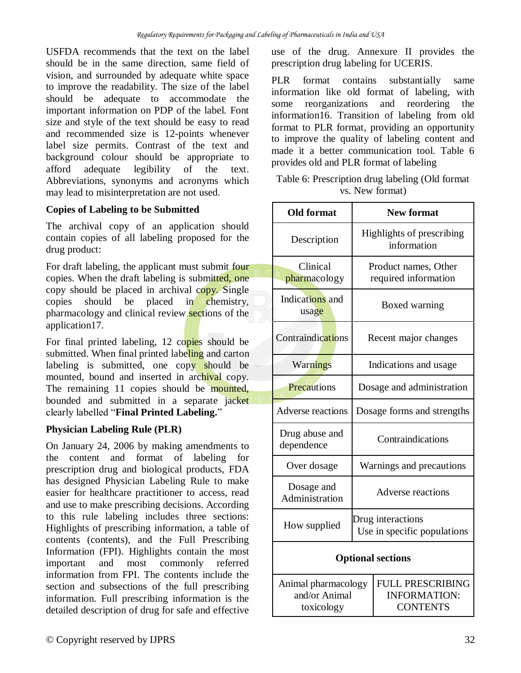USFDA recommends that the text on the label should be in the same direction, same field of vision, and surrounded by adequate white space to improve the readability. The size of the label should be adequate to accommodate the important information on PDP of the label. Font size and style of the text should be easy to read and recommended size is 12-points whenever label size permits. Contrast of the text and background colour should be appropriate to afford adequate legibility of the text. Abbreviations, synonyms and acronyms which may lead to misinterpretation are not used.

## **Copies of Labeling to be Submitted**

The archival copy of an application should contain copies of all labeling proposed for the drug product:

For draft labeling, the applicant must submit four copies. When the draft labeling is submitted, one copy should be placed in archival copy. Single copies should be placed in chemistry, pharmacology and clinical review sections of the application17.

For final printed labeling, 12 copies should be submitted. When final printed labeling and carton labeling is submitted, one copy should be mounted, bound and inserted in archival copy. The remaining 11 copies should be mounted, bounded and submitted in a separate jacket clearly labelled "**Final Printed Labeling.**"

#### **Physician Labeling Rule (PLR)**

On January 24, 2006 by making amendments to the content and format of labeling for prescription drug and biological products, FDA has designed Physician Labeling Rule to make easier for healthcare practitioner to access, read and use to make prescribing decisions. According to this rule labeling includes three sections: Highlights of prescribing information, a table of contents (contents), and the Full Prescribing Information (FPI). Highlights contain the most important and most commonly referred information from FPI. The contents include the section and subsections of the full prescribing information. Full prescribing information is the detailed description of drug for safe and effective

use of the drug. Annexure II provides the prescription drug labeling for UCERIS.

PLR format contains substantially same information like old format of labeling, with some reorganizations and reordering the information16. Transition of labeling from old format to PLR format, providing an opportunity to improve the quality of labeling content and made it a better communication tool. Table 6 provides old and PLR format of labeling

#### Table 6: Prescription drug labeling (Old format vs. New format)

| <b>Old format</b>                                  |                                              | <b>New format</b>                                                 |  |
|----------------------------------------------------|----------------------------------------------|-------------------------------------------------------------------|--|
| Description                                        |                                              | Highlights of prescribing<br>information                          |  |
| Clinical<br>pharmacology                           | Product names, Other<br>required information |                                                                   |  |
| Indications and<br>usage                           | Boxed warning                                |                                                                   |  |
| Contraindications                                  |                                              | Recent major changes                                              |  |
| Warnings                                           |                                              | Indications and usage                                             |  |
| Precautions                                        |                                              | Dosage and administration                                         |  |
| Adverse reactions                                  |                                              | Dosage forms and strengths                                        |  |
| Drug abuse and<br>dependence                       |                                              | Contraindications                                                 |  |
| Over dosage                                        |                                              | Warnings and precautions                                          |  |
| Dosage and<br>Administration                       | <b>Adverse reactions</b>                     |                                                                   |  |
| How supplied                                       |                                              | Drug interactions<br>Use in specific populations                  |  |
|                                                    |                                              | <b>Optional sections</b>                                          |  |
| Animal pharmacology<br>and/or Animal<br>toxicology |                                              | <b>FULL PRESCRIBING</b><br><b>INFORMATION:</b><br><b>CONTENTS</b> |  |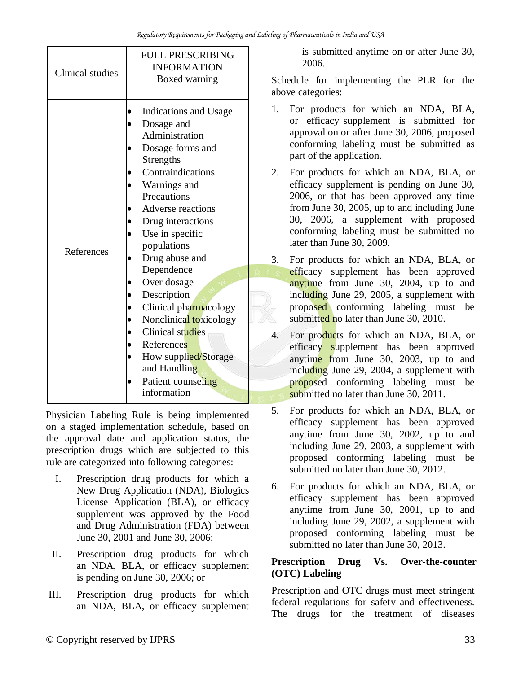| Clinical studies | <b>FULL PRESCRIBING</b><br><b>INFORMATION</b><br>Boxed warning                                                                                                                                                                                                |
|------------------|---------------------------------------------------------------------------------------------------------------------------------------------------------------------------------------------------------------------------------------------------------------|
| References       | Indications and Usage<br>Dosage and<br>Administration<br>Dosage forms and<br><b>Strengths</b><br>Contraindications<br>Warnings and<br>Precautions<br>Adverse reactions<br>Drug interactions<br>Use in specific<br>populations<br>Drug abuse and<br>Dependence |
|                  | Over dosage<br>Description<br>Clinical pharmacology<br>Nonclinical toxicology<br>Clinical studies<br>References<br>How supplied/Storage<br>and Handling<br>Patient counseling<br>information                                                                  |

Physician Labeling Rule is being implemented on a staged implementation schedule, based on the approval date and application status, the prescription drugs which are subjected to this rule are categorized into following categories:

- I. Prescription drug products for which a New Drug Application (NDA), Biologics License Application (BLA), or efficacy supplement was approved by the Food and Drug Administration (FDA) between June 30, 2001 and June 30, 2006;
- II. Prescription drug products for which an NDA, BLA, or efficacy supplement is pending on June 30, 2006; or
- III. Prescription drug products for which an NDA, BLA, or efficacy supplement

is submitted anytime on or after June 30, 2006.

Schedule for implementing the PLR for the above categories:

- 1. For products for which an NDA, BLA, or efficacy supplement is submitted for approval on or after June 30, 2006, proposed conforming labeling must be submitted as part of the application.
- 2. For products for which an NDA, BLA, or efficacy supplement is pending on June 30, 2006, or that has been approved any time from June 30, 2005, up to and including June 30, 2006, a supplement with proposed conforming labeling must be submitted no later than June 30, 2009.
- 3. For products for which an NDA, BLA, or efficacy supplement has been approved anytime from June 30, 2004, up to and including June 29, 2005, a supplement with proposed conforming labeling must be submitted no later than June 30, 2010.
- 4. For products for which an NDA, BLA, or efficacy supplement has been approved anytime from June 30, 2003, up to and including June 29, 2004, a supplement with proposed conforming labeling must be submitted no later than June 30, 2011.
- 5. For products for which an NDA, BLA, or efficacy supplement has been approved anytime from June 30, 2002, up to and including June 29, 2003, a supplement with proposed conforming labeling must be submitted no later than June 30, 2012.
- 6. For products for which an NDA, BLA, or efficacy supplement has been approved anytime from June 30, 2001, up to and including June 29, 2002, a supplement with proposed conforming labeling must be submitted no later than June 30, 2013.

## **Prescription Drug Vs. Over-the-counter (OTC) Labeling**

Prescription and OTC drugs must meet stringent federal regulations for safety and effectiveness. The drugs for the treatment of diseases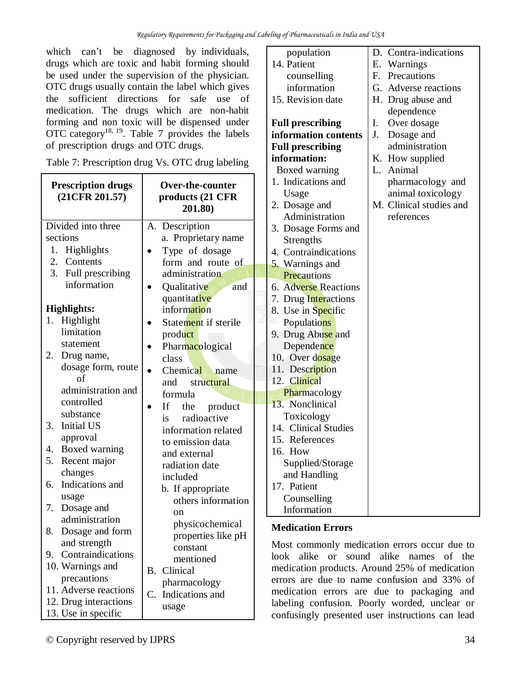which can't be diagnosed by individuals, drugs which are toxic and habit forming should be used under the supervision of the physician. OTC drugs usually contain the label which gives the sufficient directions for safe use of medication. The drugs which are non-habit forming and non toxic will be dispensed under OTC category<sup>18, 19</sup>. Table 7 provides the labels of prescription drugs and OTC drugs.

| <b>Prescription drugs</b><br>(21CFR 201.57) | Over-the-counter<br>products (21 CFR<br>201.80) |  |  |
|---------------------------------------------|-------------------------------------------------|--|--|
| Divided into three                          | Description<br>A.                               |  |  |
| sections                                    | a. Proprietary name                             |  |  |
| 1.<br>Highlights                            | Type of dosage                                  |  |  |
| 2. Contents                                 | form and route of                               |  |  |
| 3. Full prescribing                         | administration                                  |  |  |
| information                                 | Qualitative<br>and                              |  |  |
|                                             | quantitative                                    |  |  |
| <b>Highlights:</b>                          | information                                     |  |  |
| 1. Highlight                                | Statement if sterile                            |  |  |
| limitation                                  | product                                         |  |  |
| statement                                   | Pharmacological                                 |  |  |
| 2.<br>Drug name,                            | class                                           |  |  |
| dosage form, route                          | Chemical<br>name                                |  |  |
| of                                          | and structural                                  |  |  |
| administration and                          | formula                                         |  |  |
| controlled                                  | If the product                                  |  |  |
| substance                                   | is radioactive                                  |  |  |
| 3.<br><b>Initial US</b>                     | information related                             |  |  |
| approval                                    | to emission data                                |  |  |
| Boxed warning<br>4.                         | and external                                    |  |  |
| 5.<br>Recent major                          | radiation date                                  |  |  |
| changes                                     | included                                        |  |  |
| Indications and<br>6.                       | b. If appropriate                               |  |  |
| usage                                       | others information                              |  |  |
| 7.<br>Dosage and<br>administration          | on                                              |  |  |
| Dosage and form<br>8.                       | physicochemical                                 |  |  |
| and strength                                | properties like pH                              |  |  |
| 9. Contraindications                        | constant                                        |  |  |
| 10. Warnings and                            | mentioned                                       |  |  |
| precautions                                 | <b>B.</b> Clinical                              |  |  |
| 11. Adverse reactions                       | pharmacology                                    |  |  |
| 12. Drug interactions                       | C. Indications and                              |  |  |
|                                             | 110000                                          |  |  |

usage

Table 7: Prescription drug Vs. OTC drug labeling

| population              | D. Contra-indications   |
|-------------------------|-------------------------|
| 14. Patient             | E. Warnings             |
| counselling             | F. Precautions          |
| information             | G. Adverse reactions    |
| 15. Revision date       | H. Drug abuse and       |
|                         | dependence              |
| <b>Full prescribing</b> | Ι.<br>Over dosage       |
| information contents    | J.<br>Dosage and        |
| <b>Full prescribing</b> | administration          |
| information:            | K. How supplied         |
| Boxed warning           | L. Animal               |
| 1. Indications and      | pharmacology and        |
| Usage                   | animal toxicology       |
| 2. Dosage and           | M. Clinical studies and |
| Administration          | references              |
| 3. Dosage Forms and     |                         |
| <b>Strengths</b>        |                         |
| 4. Contraindications    |                         |
| 5. Warnings and         |                         |
| Precautions             |                         |
| 6. Adverse Reactions    |                         |
| 7. Drug Interactions    |                         |
| 8. Use in Specific      |                         |
| Populations             |                         |
| 9. Drug Abuse and       |                         |
| Dependence              |                         |
| 10. Over dosage         |                         |
| 11. Description         |                         |
| 12. Clinical            |                         |
| Pharmacology            |                         |
| 13. Nonclinical         |                         |
| Toxicology              |                         |
| 14. Clinical Studies    |                         |
| 15. References          |                         |
| 16. How                 |                         |
| Supplied/Storage        |                         |
| and Handling            |                         |
| 17. Patient             |                         |
| Counselling             |                         |
| Information             |                         |
|                         |                         |

## **Medication Errors**

Most commonly medication errors occur due to look alike or sound alike names of the medication products. Around 25% of medication errors are due to name confusion and 33% of medication errors are due to packaging and labeling confusion. Poorly worded, unclear or confusingly presented user instructions can lead

13. Use in specific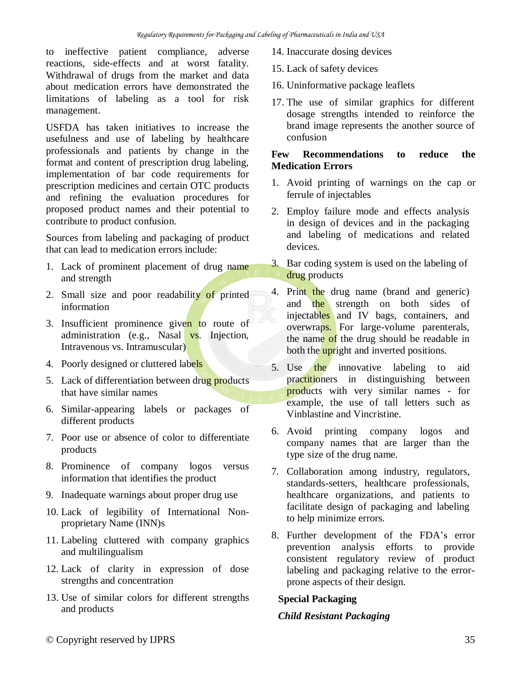to ineffective patient compliance, adverse reactions, side-effects and at worst fatality. Withdrawal of drugs from the market and data about medication errors have demonstrated the limitations of labeling as a tool for risk management.

USFDA has taken initiatives to increase the usefulness and use of labeling by healthcare professionals and patients by change in the format and content of prescription drug labeling, implementation of bar code requirements for prescription medicines and certain OTC products and refining the evaluation procedures for proposed product names and their potential to contribute to product confusion.

Sources from labeling and packaging of product that can lead to medication errors include:

- 1. Lack of prominent placement of drug name and strength
- 2. Small size and poor readability of printed information
- 3. Insufficient prominence given to route of administration (e.g., Nasal vs. Injection, Intravenous vs. Intramuscular)
- 4. Poorly designed or cluttered labels
- 5. Lack of differentiation between drug products that have similar names
- 6. Similar-appearing labels or packages of different products
- 7. Poor use or absence of color to differentiate products
- 8. Prominence of company logos versus information that identifies the product
- 9. Inadequate warnings about proper drug use
- 10. Lack of legibility of International Nonproprietary Name (INN)s
- 11. Labeling cluttered with company graphics and multilingualism
- 12. Lack of clarity in expression of dose strengths and concentration
- 13. Use of similar colors for different strengths and products
- 14. Inaccurate dosing devices
- 15. Lack of safety devices
- 16. Uninformative package leaflets
- 17. The use of similar graphics for different dosage strengths intended to reinforce the brand image represents the another source of confusion

#### **Few Recommendations to reduce the Medication Errors**

- 1. Avoid printing of warnings on the cap or ferrule of injectables
- 2. Employ failure mode and effects analysis in design of devices and in the packaging and labeling of medications and related devices.
- 3. Bar coding system is used on the labeling of drug products
- 4. Print the drug name (brand and generic) and the strength on both sides of injectables and IV bags, containers, and overwraps. For large-volume parenterals, the name of the drug should be readable in both the upright and inverted positions.
- 5. Use the innovative labeling to aid practitioners in distinguishing between products with very similar names - for example, the use of tall letters such as Vinblastine and Vincristine.
- 6. Avoid printing company logos and company names that are larger than the type size of the drug name.
- 7. Collaboration among industry, regulators, standards-setters, healthcare professionals, healthcare organizations, and patients to facilitate design of packaging and labeling to help minimize errors.
- 8. Further development of the FDA's error prevention analysis efforts to provide consistent regulatory review of product labeling and packaging relative to the errorprone aspects of their design.

## **Special Packaging**

## *Child Resistant Packaging*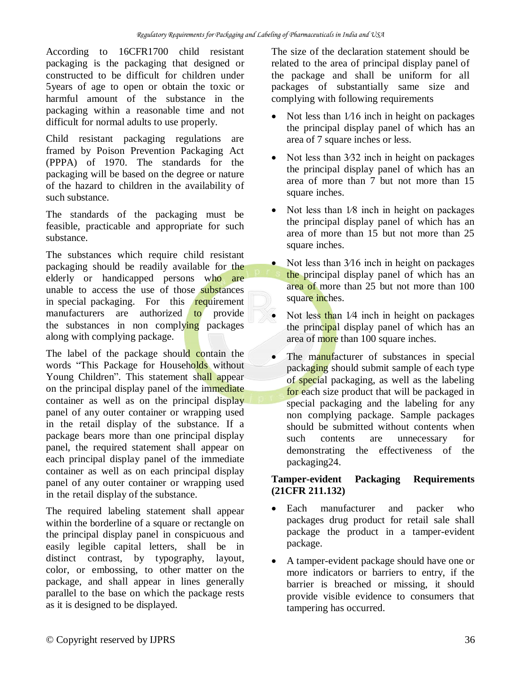According to 16CFR1700 child resistant packaging is the packaging that designed or constructed to be difficult for children under 5years of age to open or obtain the toxic or harmful amount of the substance in the packaging within a reasonable time and not difficult for normal adults to use properly.

Child resistant packaging regulations are framed by Poison Prevention Packaging Act (PPPA) of 1970. The standards for the packaging will be based on the degree or nature of the hazard to children in the availability of such substance.

The standards of the packaging must be feasible, practicable and appropriate for such substance.

The substances which require child resistant packaging should be readily available for the elderly or handicapped persons who are unable to access the use of those substances in special packaging. For this requirement manufacturers are authorized to provide the substances in non complying packages along with complying package.

The label of the package should contain the words "This Package for Households without Young Children". This statement shall appear on the principal display panel of the immediate container as well as on the principal display panel of any outer container or wrapping used in the retail display of the substance. If a package bears more than one principal display panel, the required statement shall appear on each principal display panel of the immediate container as well as on each principal display panel of any outer container or wrapping used in the retail display of the substance.

The required labeling statement shall appear within the borderline of a square or rectangle on the principal display panel in conspicuous and easily legible capital letters, shall be in distinct contrast, by typography, layout, color, or embossing, to other matter on the package, and shall appear in lines generally parallel to the base on which the package rests as it is designed to be displayed.

The size of the declaration statement should be related to the area of principal display panel of the package and shall be uniform for all packages of substantially same size and complying with following requirements

- Not less than  $1/16$  inch in height on packages the principal display panel of which has an area of 7 square inches or less.
- Not less than 3⁄32 inch in height on packages the principal display panel of which has an area of more than 7 but not more than 15 square inches.
- Not less than  $1/8$  inch in height on packages the principal display panel of which has an area of more than 15 but not more than 25 square inches.
- Not less than 3⁄16 inch in height on packages the principal display panel of which has an area of more than 25 but not more than 100 square inches.
- Not less than 1/4 inch in height on packages the principal display panel of which has an area of more than 100 square inches.
- The manufacturer of substances in special packaging should submit sample of each type of special packaging, as well as the labeling for each size product that will be packaged in special packaging and the labeling for any non complying package. Sample packages should be submitted without contents when such contents are unnecessary for demonstrating the effectiveness of the packaging24.

#### **Tamper-evident Packaging Requirements (21CFR 211.132)**

- Each manufacturer and packer who packages drug product for retail sale shall package the product in a tamper-evident package.
- A tamper-evident package should have one or more indicators or barriers to entry, if the barrier is breached or missing, it should provide visible evidence to consumers that tampering has occurred.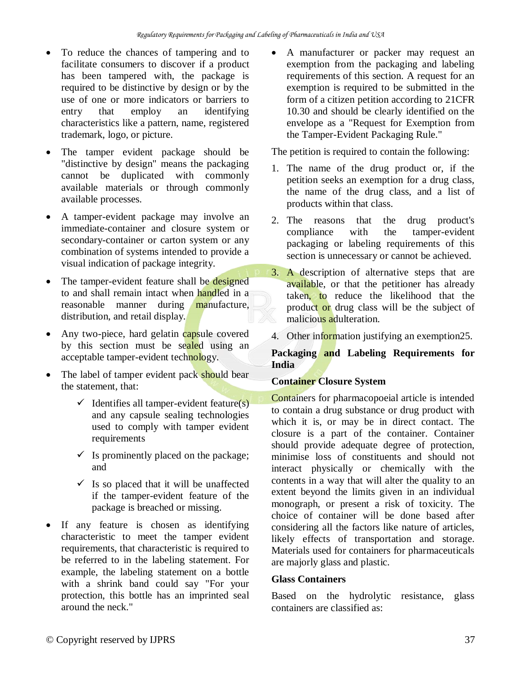- To reduce the chances of tampering and to facilitate consumers to discover if a product has been tampered with, the package is required to be distinctive by design or by the use of one or more indicators or barriers to entry that employ an identifying characteristics like a pattern, name, registered trademark, logo, or picture.
- The tamper evident package should be "distinctive by design" means the packaging cannot be duplicated with commonly available materials or through commonly available processes.
- A tamper-evident package may involve an immediate-container and closure system or secondary-container or carton system or any combination of systems intended to provide a visual indication of package integrity.
- The tamper-evident feature shall be designed to and shall remain intact when handled in a reasonable manner during manufacture, distribution, and retail display.
- Any two-piece, hard gelatin capsule covered by this section must be sealed using an acceptable tamper-evident technology.
- The label of tamper evident pack should bear the statement, that:
	- $\checkmark$  Identifies all tamper-evident feature(s) and any capsule sealing technologies used to comply with tamper evident requirements
	- $\checkmark$  Is prominently placed on the package; and
	- $\checkmark$  Is so placed that it will be unaffected if the tamper-evident feature of the package is breached or missing.
- If any feature is chosen as identifying characteristic to meet the tamper evident requirements, that characteristic is required to be referred to in the labeling statement. For example, the labeling statement on a bottle with a shrink band could say "For your protection, this bottle has an imprinted seal around the neck."

 A manufacturer or packer may request an exemption from the packaging and labeling requirements of this section. A request for an exemption is required to be submitted in the form of a citizen petition according to 21CFR 10.30 and should be clearly identified on the envelope as a "Request for Exemption from the Tamper-Evident Packaging Rule."

The petition is required to contain the following:

- 1. The name of the drug product or, if the petition seeks an exemption for a drug class, the name of the drug class, and a list of products within that class.
- 2. The reasons that the drug product's compliance with the tamper-evident packaging or labeling requirements of this section is unnecessary or cannot be achieved.
- 3. A description of alternative steps that are available, or that the petitioner has already taken, to reduce the likelihood that the product or drug class will be the subject of malicious adulteration.
- 4. Other information justifying an exemption 25.

#### **Packaging and Labeling Requirements for India**

## **Container Closure System**

Containers for pharmacopoeial article is intended to contain a drug substance or drug product with which it is, or may be in direct contact. The closure is a part of the container. Container should provide adequate degree of protection, minimise loss of constituents and should not interact physically or chemically with the contents in a way that will alter the quality to an extent beyond the limits given in an individual monograph, or present a risk of toxicity. The choice of container will be done based after considering all the factors like nature of articles, likely effects of transportation and storage. Materials used for containers for pharmaceuticals are majorly glass and plastic.

## **Glass Containers**

Based on the hydrolytic resistance, glass containers are classified as: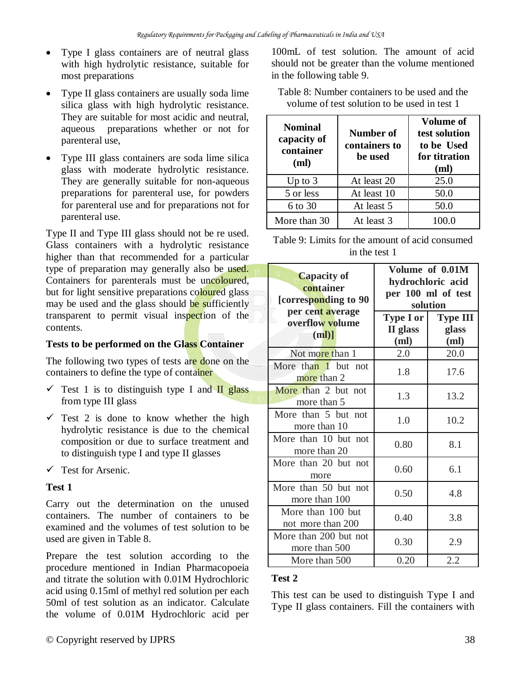- Type I glass containers are of neutral glass with high hydrolytic resistance, suitable for most preparations
- Type II glass containers are usually soda lime silica glass with high hydrolytic resistance. They are suitable for most acidic and neutral, aqueous preparations whether or not for parenteral use,
- Type III glass containers are soda lime silica glass with moderate hydrolytic resistance. They are generally suitable for non-aqueous preparations for parenteral use, for powders for parenteral use and for preparations not for parenteral use.

Type II and Type III glass should not be re used. Glass containers with a hydrolytic resistance higher than that recommended for a particular type of preparation may generally also be used. Containers for parenterals must be uncoloured, but for light sensitive preparations coloured glass may be used and the glass should be sufficiently transparent to permit visual inspection of the contents.

#### **Tests to be performed on the Glass Container**

The following two types of tests are done on the containers to define the type of container

- $\checkmark$  Test 1 is to distinguish type I and II glass from type III glass
- $\checkmark$  Test 2 is done to know whether the high hydrolytic resistance is due to the chemical composition or due to surface treatment and to distinguish type I and type II glasses
- $\checkmark$  Test for Arsenic.

#### **Test 1**

Carry out the determination on the unused containers. The number of containers to be examined and the volumes of test solution to be used are given in Table 8.

Prepare the test solution according to the procedure mentioned in Indian Pharmacopoeia and titrate the solution with 0.01M Hydrochloric acid using 0.15ml of methyl red solution per each 50ml of test solution as an indicator. Calculate the volume of 0.01M Hydrochloric acid per

100mL of test solution. The amount of acid should not be greater than the volume mentioned in the following table 9.

Table 8: Number containers to be used and the volume of test solution to be used in test 1

| <b>Nominal</b><br>capacity of<br>container<br>(ml) | Number of<br>containers to<br>be used | Volume of<br>test solution<br>to be Used<br>for titration<br>(ml) |
|----------------------------------------------------|---------------------------------------|-------------------------------------------------------------------|
| Up to $3$                                          | At least 20                           | 25.0                                                              |
| 5 or less                                          | At least 10                           | 50.0                                                              |
| 6 to 30                                            | At least 5                            | 50.0                                                              |
| More than 30                                       | At least 3                            | 100.0                                                             |

Table 9: Limits for the amount of acid consumed in the test 1

| <b>Capacity of</b><br>container<br>[corresponding to 90 | Volume of 0.01M<br>hydrochloric acid<br>per 100 ml of test<br>solution |                                  |
|---------------------------------------------------------|------------------------------------------------------------------------|----------------------------------|
| per cent average<br>overflow volume<br>$(ml)$ ]         | <b>Type I or</b><br>II glass<br>(m <sub>l</sub> )                      | <b>Type III</b><br>glass<br>(ml) |
| Not more than 1                                         | 2.0                                                                    | 20.0                             |
| More than 1 but not<br>more than 2                      | 1.8                                                                    | 17.6                             |
| More than 2 but not<br>more than 5                      | 1.3                                                                    | 13.2                             |
| More than 5 but not<br>more than 10                     | 1.0                                                                    | 10.2                             |
| More than 10 but not<br>more than 20                    | 0.80                                                                   | 8.1                              |
| More than 20 but not<br>more                            | 0.60                                                                   | 6.1                              |
| More than 50 but not<br>more than 100                   | 0.50                                                                   | 4.8                              |
| More than 100 but<br>not more than 200                  | 0.40                                                                   | 3.8                              |
| More than 200 but not<br>more than 500                  | 0.30                                                                   | 2.9                              |
| More than 500                                           | 0.20                                                                   | 2.2                              |

#### **Test 2**

This test can be used to distinguish Type I and Type II glass containers. Fill the containers with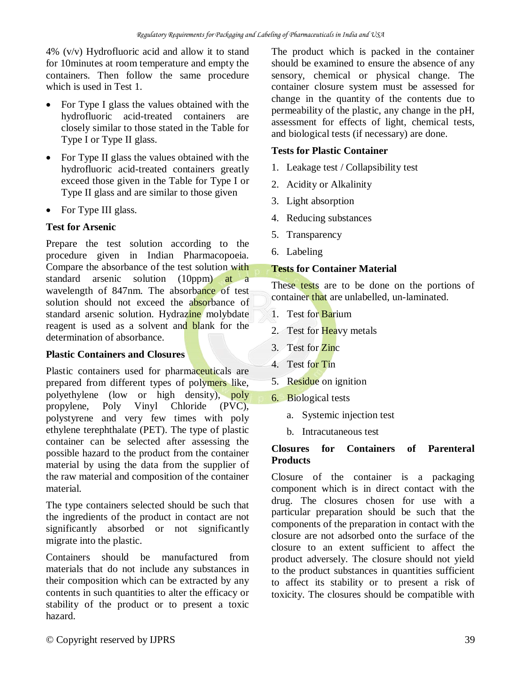4% (v/v) Hydrofluoric acid and allow it to stand for 10minutes at room temperature and empty the containers. Then follow the same procedure which is used in Test 1.

- For Type I glass the values obtained with the hydrofluoric acid-treated containers are closely similar to those stated in the Table for Type I or Type II glass.
- For Type II glass the values obtained with the hydrofluoric acid-treated containers greatly exceed those given in the Table for Type I or Type II glass and are similar to those given
- For Type III glass.

## **Test for Arsenic**

Prepare the test solution according to the procedure given in Indian Pharmacopoeia. Compare the absorbance of the test solution with standard arsenic solution (10ppm) at a wavelength of 847nm. The absorbance of test solution should not exceed the absorbance of standard arsenic solution. Hydrazine molybdate reagent is used as a solvent and blank for the determination of absorbance.

## **Plastic Containers and Closures**

Plastic containers used for pharmaceuticals are prepared from different types of polymers like, polyethylene (low or high density), poly propylene, Poly Vinyl Chloride (PVC), polystyrene and very few times with poly ethylene terephthalate (PET). The type of plastic container can be selected after assessing the possible hazard to the product from the container material by using the data from the supplier of the raw material and composition of the container material.

The type containers selected should be such that the ingredients of the product in contact are not significantly absorbed or not significantly migrate into the plastic.

Containers should be manufactured from materials that do not include any substances in their composition which can be extracted by any contents in such quantities to alter the efficacy or stability of the product or to present a toxic hazard.

The product which is packed in the container should be examined to ensure the absence of any sensory, chemical or physical change. The container closure system must be assessed for change in the quantity of the contents due to permeability of the plastic, any change in the pH, assessment for effects of light, chemical tests, and biological tests (if necessary) are done.

#### **Tests for Plastic Container**

- 1. Leakage test / Collapsibility test
- 2. Acidity or Alkalinity
- 3. Light absorption
- 4. Reducing substances
- 5. Transparency
- 6. Labeling

## **Tests for Container Material**

These tests are to be done on the portions of container that are unlabelled, un-laminated.

- 1. Test for Barium
- 2. Test for Heavy metals
- 3. Test for Zinc
- 4. Test for Tin
- 5. Residue on ignition
- 6. Biological tests
	- a. Systemic injection test
	- b. Intracutaneous test

#### **Closures for Containers of Parenteral Products**

Closure of the container is a packaging component which is in direct contact with the drug. The closures chosen for use with a particular preparation should be such that the components of the preparation in contact with the closure are not adsorbed onto the surface of the closure to an extent sufficient to affect the product adversely. The closure should not yield to the product substances in quantities sufficient to affect its stability or to present a risk of toxicity. The closures should be compatible with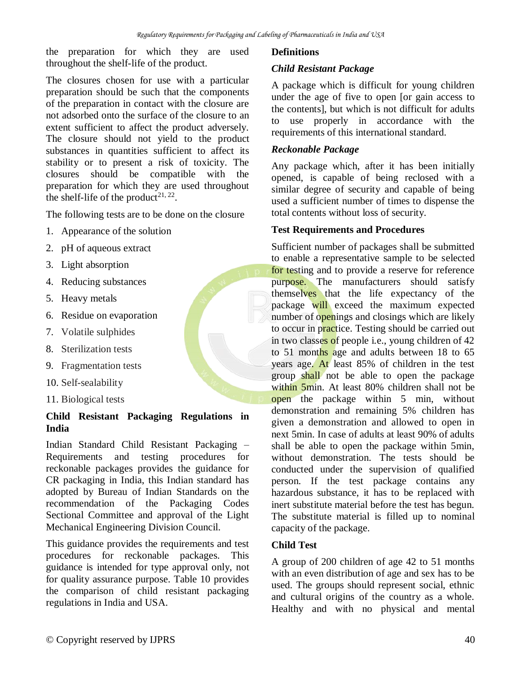the preparation for which they are used throughout the shelf-life of the product.

The closures chosen for use with a particular preparation should be such that the components of the preparation in contact with the closure are not adsorbed onto the surface of the closure to an extent sufficient to affect the product adversely. The closure should not yield to the product substances in quantities sufficient to affect its stability or to present a risk of toxicity. The closures should be compatible with the preparation for which they are used throughout the shelf-life of the product<sup>21, 22</sup>.

The following tests are to be done on the closure

- 1. Appearance of the solution
- 2. pH of aqueous extract
- 3. Light absorption
- 4. Reducing substances
- 5. Heavy metals
- 6. Residue on evaporation
- 7. Volatile sulphides
- 8. Sterilization tests
- 9. Fragmentation tests
- 10. Self-sealability
- 11. Biological tests

#### **Child Resistant Packaging Regulations in India**

Indian Standard Child Resistant Packaging – Requirements and testing procedures for reckonable packages provides the guidance for CR packaging in India, this Indian standard has adopted by Bureau of Indian Standards on the recommendation of the Packaging Codes Sectional Committee and approval of the Light Mechanical Engineering Division Council.

This guidance provides the requirements and test procedures for reckonable packages. This guidance is intended for type approval only, not for quality assurance purpose. Table 10 provides the comparison of child resistant packaging regulations in India and USA.

#### **Definitions**

#### *Child Resistant Package*

A package which is difficult for young children under the age of five to open [or gain access to the contents], but which is not difficult for adults to use properly in accordance with the requirements of this international standard.

#### *Reckonable Package*

Any package which, after it has been initially opened, is capable of being reclosed with a similar degree of security and capable of being used a sufficient number of times to dispense the total contents without loss of security.

#### **Test Requirements and Procedures**

Sufficient number of packages shall be submitted to enable a representative sample to be selected for testing and to provide a reserve for reference purpose. The manufacturers should satisfy themselves that the life expectancy of the package will exceed the maximum expected number of openings and closings which are likely to occur in practice. Testing should be carried out in two classes of people i.e., young children of 42 to 51 months age and adults between 18 to 65 years age. At least 85% of children in the test group shall not be able to open the package within 5min. At least 80% children shall not be open the package within 5 min, without demonstration and remaining 5% children has given a demonstration and allowed to open in next 5min. In case of adults at least 90% of adults shall be able to open the package within 5min, without demonstration. The tests should be conducted under the supervision of qualified person. If the test package contains any hazardous substance, it has to be replaced with inert substitute material before the test has begun. The substitute material is filled up to nominal capacity of the package.

#### **Child Test**

A group of 200 children of age 42 to 51 months with an even distribution of age and sex has to be used. The groups should represent social, ethnic and cultural origins of the country as a whole. Healthy and with no physical and mental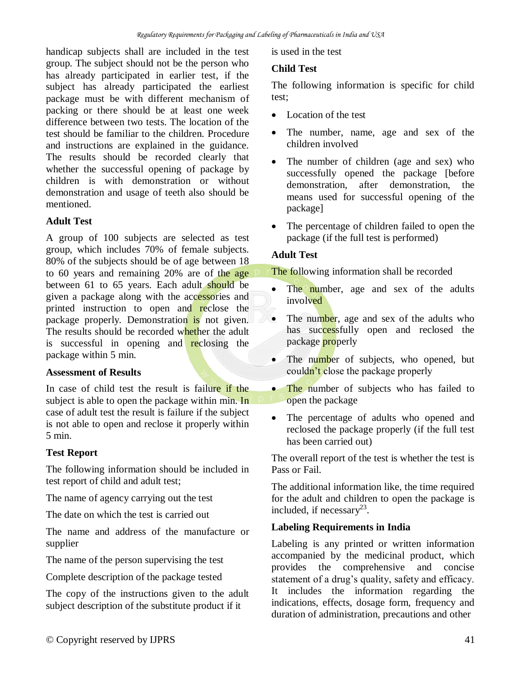handicap subjects shall are included in the test group. The subject should not be the person who has already participated in earlier test, if the subject has already participated the earliest package must be with different mechanism of packing or there should be at least one week difference between two tests. The location of the test should be familiar to the children. Procedure and instructions are explained in the guidance. The results should be recorded clearly that whether the successful opening of package by children is with demonstration or without demonstration and usage of teeth also should be mentioned.

## **Adult Test**

A group of 100 subjects are selected as test group, which includes 70% of female subjects. 80% of the subjects should be of age between 18 to 60 years and remaining 20% are of the age between 61 to 65 years. Each adult should be given a package along with the accessories and printed instruction to open and reclose the package properly. Demonstration is not given. The results should be recorded whether the adult is successful in opening and reclosing the package within 5 min.

## **Assessment of Results**

In case of child test the result is failure if the subject is able to open the package within min. In case of adult test the result is failure if the subject is not able to open and reclose it properly within 5 min.

## **Test Report**

The following information should be included in test report of child and adult test;

The name of agency carrying out the test

The date on which the test is carried out

The name and address of the manufacture or supplier

The name of the person supervising the test

Complete description of the package tested

The copy of the instructions given to the adult subject description of the substitute product if it

is used in the test

## **Child Test**

The following information is specific for child test;

- Location of the test
- The number, name, age and sex of the children involved
- The number of children (age and sex) who successfully opened the package [before demonstration, after demonstration, the means used for successful opening of the package]
- The percentage of children failed to open the package (if the full test is performed)

## **Adult Test**

The following information shall be recorded

- The number, age and sex of the adults involved
- The number, age and sex of the adults who has successfully open and reclosed the package properly
- The number of subjects, who opened, but couldn't close the package properly
- The number of subjects who has failed to open the package
- The percentage of adults who opened and reclosed the package properly (if the full test has been carried out)

The overall report of the test is whether the test is Pass or Fail.

The additional information like, the time required for the adult and children to open the package is included, if necessary $2<sup>3</sup>$ .

## **Labeling Requirements in India**

Labeling is any printed or written information accompanied by the medicinal product, which provides the comprehensive and concise statement of a drug's quality, safety and efficacy. It includes the information regarding the indications, effects, dosage form, frequency and duration of administration, precautions and other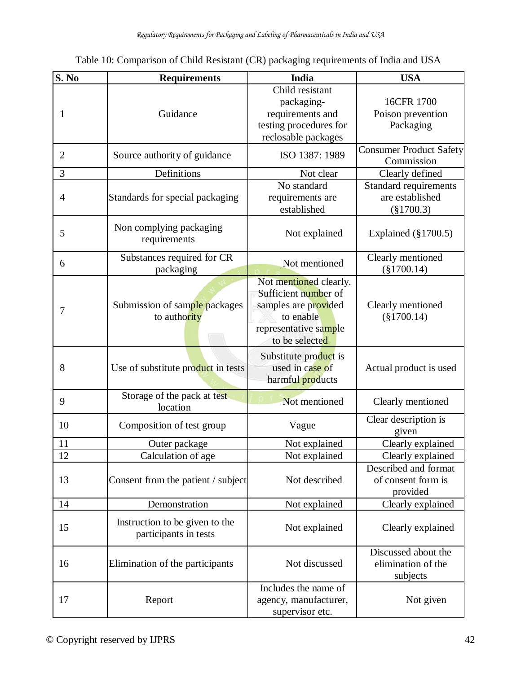| <b>S. No</b>   | <b>Requirements</b>                                     | India                                                                                                                          | <b>USA</b>                                               |
|----------------|---------------------------------------------------------|--------------------------------------------------------------------------------------------------------------------------------|----------------------------------------------------------|
| 1              | Guidance                                                | Child resistant<br>packaging-<br>requirements and<br>testing procedures for<br>reclosable packages                             | 16CFR 1700<br>Poison prevention<br>Packaging             |
| $\overline{2}$ | Source authority of guidance                            | ISO 1387: 1989                                                                                                                 | <b>Consumer Product Safety</b><br>Commission             |
| 3              | Definitions                                             | Not clear                                                                                                                      | Clearly defined                                          |
| 4              | Standards for special packaging                         | No standard<br>requirements are<br>established                                                                                 | Standard requirements<br>are established<br>$(\$1700.3)$ |
| 5              | Non complying packaging<br>requirements                 | Not explained                                                                                                                  | Explained $(\S1700.5)$                                   |
| 6              | Substances required for CR<br>packaging                 | Not mentioned                                                                                                                  | Clearly mentioned<br>$(\$1700.14)$                       |
| 7              | Submission of sample packages<br>to authority           | Not mentioned clearly.<br>Sufficient number of<br>samples are provided<br>to enable<br>representative sample<br>to be selected | Clearly mentioned<br>$(\$1700.14)$                       |
| 8              | Use of substitute product in tests                      | Substitute product is<br>used in case of<br>harmful products                                                                   | Actual product is used                                   |
| 9              | Storage of the pack at test<br>location                 | Not mentioned                                                                                                                  | Clearly mentioned                                        |
| 10             | Composition of test group                               | Vague                                                                                                                          | Clear description is<br>given                            |
| 11             | Outer package                                           | Not explained                                                                                                                  | Clearly explained                                        |
| 12             | Calculation of age                                      | Not explained                                                                                                                  | Clearly explained                                        |
| 13             | Consent from the patient / subject                      | Not described                                                                                                                  | Described and format<br>of consent form is<br>provided   |
| 14             | Demonstration                                           | Not explained                                                                                                                  | Clearly explained                                        |
| 15             | Instruction to be given to the<br>participants in tests | Not explained                                                                                                                  | Clearly explained                                        |
| 16             | Elimination of the participants                         | Not discussed                                                                                                                  | Discussed about the<br>elimination of the<br>subjects    |
| 17             | Report                                                  | Includes the name of<br>agency, manufacturer,<br>supervisor etc.                                                               | Not given                                                |

Table 10: Comparison of Child Resistant (CR) packaging requirements of India and USA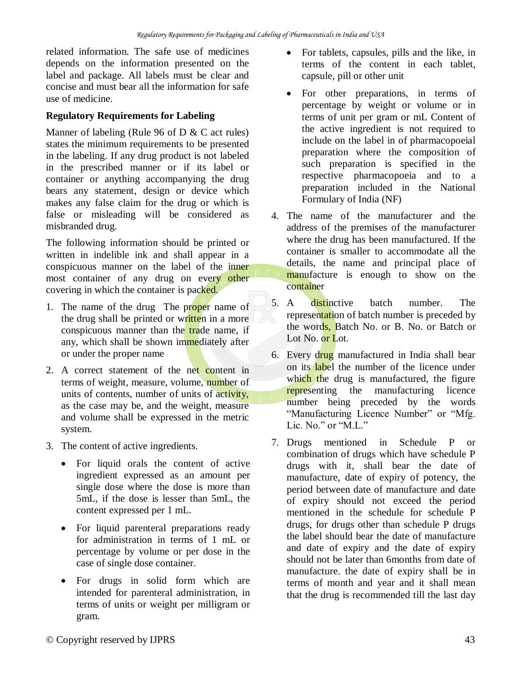related information. The safe use of medicines depends on the information presented on the label and package. All labels must be clear and concise and must bear all the information for safe use of medicine.

## **Regulatory Requirements for Labeling**

Manner of labeling (Rule 96 of D & C act rules) states the minimum requirements to be presented in the labeling. If any drug product is not labeled in the prescribed manner or if its label or container or anything accompanying the drug bears any statement, design or device which makes any false claim for the drug or which is false or misleading will be considered as misbranded drug.

The following information should be printed or written in indelible ink and shall appear in a conspicuous manner on the label of the inner most container of any drug on every other covering in which the container is packed.

- 1. The name of the drug The proper name of the drug shall be printed or written in a more conspicuous manner than the trade name, if any, which shall be shown immediately after or under the proper name
- 2. A correct statement of the net content in terms of weight, measure, volume, number of units of contents, number of units of activity, as the case may be, and the weight, measure and volume shall be expressed in the metric system.
- 3. The content of active ingredients.
	- For liquid orals the content of active ingredient expressed as an amount per single dose where the dose is more than 5mL, if the dose is lesser than 5mL, the content expressed per 1 mL.
	- For liquid parenteral preparations ready for administration in terms of 1 mL or percentage by volume or per dose in the case of single dose container.
	- For drugs in solid form which are intended for parenteral administration, in terms of units or weight per milligram or gram.
- For tablets, capsules, pills and the like, in terms of the content in each tablet, capsule, pill or other unit
- For other preparations, in terms of percentage by weight or volume or in terms of unit per gram or mL Content of the active ingredient is not required to include on the label in of pharmacopoeial preparation where the composition of such preparation is specified in the respective pharmacopoeia and to a preparation included in the National Formulary of India (NF)
- 4. The name of the manufacturer and the address of the premises of the manufacturer where the drug has been manufactured. If the container is smaller to accommodate all the details, the name and principal place of manufacture is enough to show on the container
- 5. A distinctive batch number. The representation of batch number is preceded by the words, Batch No. or B. No. or Batch or Lot No. or Lot.
- 6. Every drug manufactured in India shall bear on its label the number of the licence under which the drug is manufactured, the figure representing the manufacturing licence number being preceded by the words "Manufacturing Licence Number" or "Mfg. Lic. No." or "M.L."
- 7. Drugs mentioned in Schedule P or combination of drugs which have schedule P drugs with it, shall bear the date of manufacture, date of expiry of potency, the period between date of manufacture and date of expiry should not exceed the period mentioned in the schedule for schedule P drugs, for drugs other than schedule P drugs the label should bear the date of manufacture and date of expiry and the date of expiry should not be later than 6months from date of manufacture. the date of expiry shall be in terms of month and year and it shall mean that the drug is recommended till the last day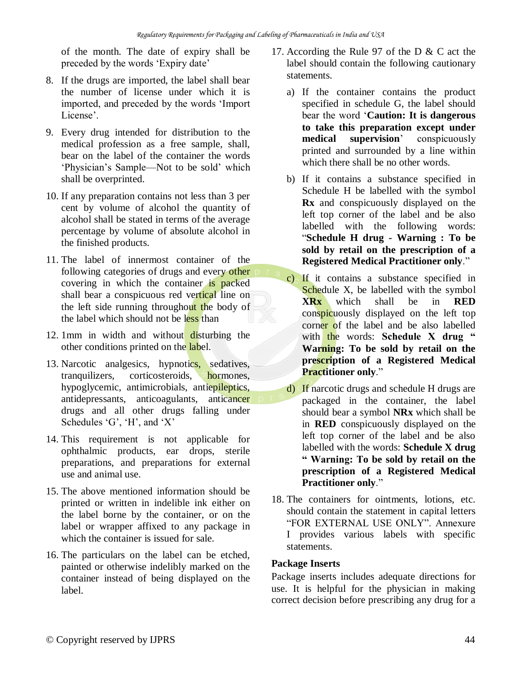of the month. The date of expiry shall be preceded by the words 'Expiry date'

- 8. If the drugs are imported, the label shall bear the number of license under which it is imported, and preceded by the words 'Import License'.
- 9. Every drug intended for distribution to the medical profession as a free sample, shall, bear on the label of the container the words 'Physician's Sample—Not to be sold' which shall be overprinted.
- 10. If any preparation contains not less than 3 per cent by volume of alcohol the quantity of alcohol shall be stated in terms of the average percentage by volume of absolute alcohol in the finished products.
- 11. The label of innermost container of the following categories of drugs and every other covering in which the container is packed shall bear a conspicuous red vertical line on the left side running throughout the body of the label which should not be less than
- 12. 1mm in width and without disturbing the other conditions printed on the label.
- 13. Narcotic analgesics, hypnotics, sedatives, tranquilizers, corticosteroids, hormones, hypoglycemic, antimicrobials, antiepileptics, antidepressants, anticoagulants, anticancer drugs and all other drugs falling under Schedules 'G', 'H', and 'X'
- 14. This requirement is not applicable for ophthalmic products, ear drops, sterile preparations, and preparations for external use and animal use.
- 15. The above mentioned information should be printed or written in indelible ink either on the label borne by the container, or on the label or wrapper affixed to any package in which the container is issued for sale.
- 16. The particulars on the label can be etched, painted or otherwise indelibly marked on the container instead of being displayed on the label.
- 17. According the Rule 97 of the D & C act the label should contain the following cautionary statements.
	- a) If the container contains the product specified in schedule G, the label should bear the word '**Caution: It is dangerous to take this preparation except under medical supervision**' conspicuously printed and surrounded by a line within which there shall be no other words.
	- b) If it contains a substance specified in Schedule H be labelled with the symbol **Rx** and conspicuously displayed on the left top corner of the label and be also labelled with the following words: "**Schedule H drug - Warning : To be sold by retail on the prescription of a Registered Medical Practitioner only**."
	- c) If it contains a substance specified in Schedule X, be labelled with the symbol **XRx** which shall be in **RED**  conspicuously displayed on the left top corner of the label and be also labelled with the words: Schedule X drug " **Warning: To be sold by retail on the prescription of a Registered Medical Practitioner only**."
	- d) If narcotic drugs and schedule H drugs are packaged in the container, the label should bear a symbol **NRx** which shall be in **RED** conspicuously displayed on the left top corner of the label and be also labelled with the words: **Schedule X drug " Warning: To be sold by retail on the prescription of a Registered Medical Practitioner only**."
- 18. The containers for ointments, lotions, etc. should contain the statement in capital letters "FOR EXTERNAL USE ONLY". Annexure I provides various labels with specific statements.

#### **Package Inserts**

Package inserts includes adequate directions for use. It is helpful for the physician in making correct decision before prescribing any drug for a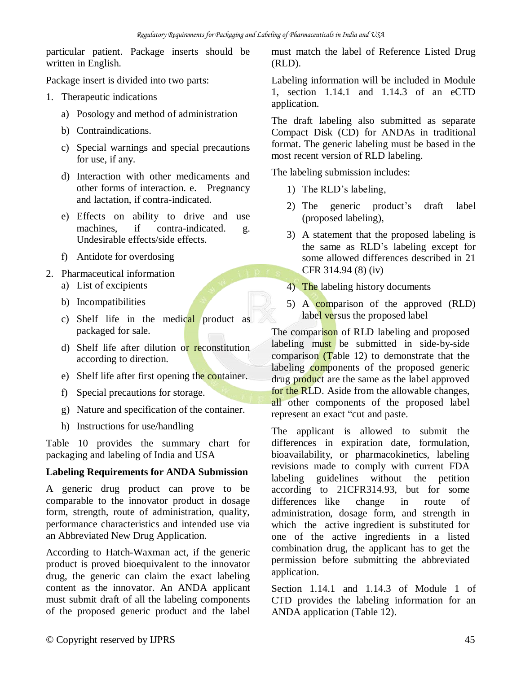particular patient. Package inserts should be written in English.

Package insert is divided into two parts:

- 1. Therapeutic indications
	- a) Posology and method of administration
	- b) Contraindications.
	- c) Special warnings and special precautions for use, if any.
	- d) Interaction with other medicaments and other forms of interaction. e. Pregnancy and lactation, if contra-indicated.
	- e) Effects on ability to drive and use machines, if contra-indicated. g. Undesirable effects/side effects.
	- f) Antidote for overdosing
- 2. Pharmaceutical information
	- a) List of excipients
	- b) Incompatibilities
	- c) Shelf life in the medical product as packaged for sale.
	- d) Shelf life after dilution or reconstitution according to direction.
	- e) Shelf life after first opening the container.
	- f) Special precautions for storage.
	- g) Nature and specification of the container.
	- h) Instructions for use/handling

Table 10 provides the summary chart for packaging and labeling of India and USA

#### **Labeling Requirements for ANDA Submission**

A generic drug product can prove to be comparable to the innovator product in dosage form, strength, route of administration, quality, performance characteristics and intended use via an Abbreviated New Drug Application.

According to Hatch-Waxman act, if the generic product is proved bioequivalent to the innovator drug, the generic can claim the exact labeling content as the innovator. An ANDA applicant must submit draft of all the labeling components of the proposed generic product and the label must match the label of Reference Listed Drug (RLD).

Labeling information will be included in Module 1, section 1.14.1 and 1.14.3 of an eCTD application.

The draft labeling also submitted as separate Compact Disk (CD) for ANDAs in traditional format. The generic labeling must be based in the most recent version of RLD labeling.

The labeling submission includes:

- 1) The RLD's labeling,
- 2) The generic product's draft label (proposed labeling),
- 3) A statement that the proposed labeling is the same as RLD's labeling except for some allowed differences described in 21 CFR 314.94 (8) (iv)
- 4) The labeling history documents
- 5) A comparison of the approved (RLD) label versus the proposed label

The comparison of RLD labeling and proposed labeling must be submitted in side-by-side comparison (Table 12) to demonstrate that the labeling components of the proposed generic drug product are the same as the label approved for the RLD. Aside from the allowable changes, all other components of the proposed label represent an exact "cut and paste.

The applicant is allowed to submit the differences in expiration date, formulation, bioavailability, or pharmacokinetics, labeling revisions made to comply with current FDA labeling guidelines without the petition according to 21CFR314.93, but for some differences like change in route of administration, dosage form, and strength in which the active ingredient is substituted for one of the active ingredients in a listed combination drug, the applicant has to get the permission before submitting the abbreviated application.

Section 1.14.1 and 1.14.3 of Module 1 of CTD provides the labeling information for an ANDA application (Table 12).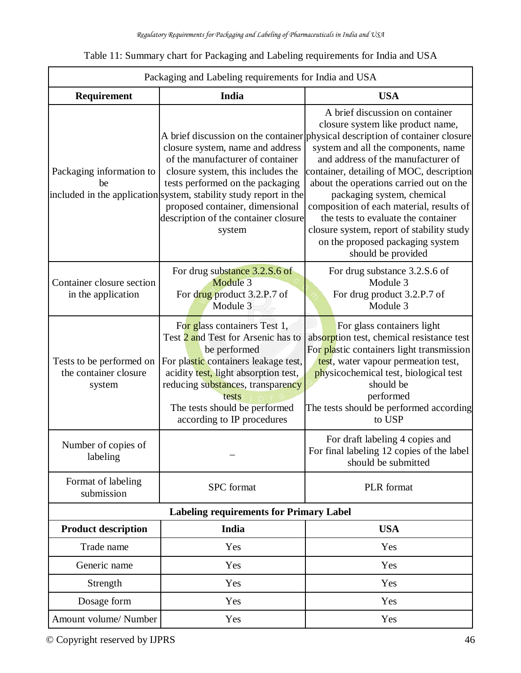| Table 11: Summary chart for Packaging and Labeling requirements for India and USA |  |  |
|-----------------------------------------------------------------------------------|--|--|
|                                                                                   |  |  |

| Packaging and Labeling requirements for India and USA       |                                                                                                                                                                                                                                                                                                         |                                                                                                                                                                                                                                                                                                                                                                                                                                                                                                                                                   |  |
|-------------------------------------------------------------|---------------------------------------------------------------------------------------------------------------------------------------------------------------------------------------------------------------------------------------------------------------------------------------------------------|---------------------------------------------------------------------------------------------------------------------------------------------------------------------------------------------------------------------------------------------------------------------------------------------------------------------------------------------------------------------------------------------------------------------------------------------------------------------------------------------------------------------------------------------------|--|
| Requirement                                                 | India                                                                                                                                                                                                                                                                                                   | <b>USA</b>                                                                                                                                                                                                                                                                                                                                                                                                                                                                                                                                        |  |
| Packaging information to<br>be                              | closure system, name and address<br>of the manufacturer of container<br>closure system, this includes the<br>tests performed on the packaging<br>included in the application system, stability study report in the<br>proposed container, dimensional<br>description of the container closure<br>system | A brief discussion on container<br>closure system like product name,<br>A brief discussion on the container physical description of container closure<br>system and all the components, name<br>and address of the manufacturer of<br>container, detailing of MOC, description<br>about the operations carried out on the<br>packaging system, chemical<br>composition of each material, results of<br>the tests to evaluate the container<br>closure system, report of stability study<br>on the proposed packaging system<br>should be provided |  |
| Container closure section<br>in the application             | For drug substance 3.2.S.6 of<br>Module 3<br>For drug product 3.2.P.7 of<br>Module 3                                                                                                                                                                                                                    | For drug substance 3.2.S.6 of<br>Module 3<br>For drug product 3.2.P.7 of<br>Module 3                                                                                                                                                                                                                                                                                                                                                                                                                                                              |  |
| Tests to be performed on<br>the container closure<br>system | For glass containers Test 1,<br>Test 2 and Test for Arsenic has to<br>be performed<br>For plastic containers leakage test,<br>acidity test, light absorption test,<br>reducing substances, transparency<br>tests<br>The tests should be performed<br>according to IP procedures                         | For glass containers light<br>absorption test, chemical resistance test<br>For plastic containers light transmission<br>test, water vapour permeation test,<br>physicochemical test, biological test<br>should be<br>performed<br>The tests should be performed according<br>to USP                                                                                                                                                                                                                                                               |  |
| Number of copies of<br>labeling                             |                                                                                                                                                                                                                                                                                                         | For draft labeling 4 copies and<br>For final labeling 12 copies of the label<br>should be submitted                                                                                                                                                                                                                                                                                                                                                                                                                                               |  |
| Format of labeling<br>submission                            | <b>SPC</b> format                                                                                                                                                                                                                                                                                       | PLR format                                                                                                                                                                                                                                                                                                                                                                                                                                                                                                                                        |  |
|                                                             | <b>Labeling requirements for Primary Label</b>                                                                                                                                                                                                                                                          |                                                                                                                                                                                                                                                                                                                                                                                                                                                                                                                                                   |  |
| <b>Product description</b>                                  | India                                                                                                                                                                                                                                                                                                   | <b>USA</b>                                                                                                                                                                                                                                                                                                                                                                                                                                                                                                                                        |  |
| Trade name                                                  | Yes                                                                                                                                                                                                                                                                                                     | Yes                                                                                                                                                                                                                                                                                                                                                                                                                                                                                                                                               |  |
| Generic name                                                | Yes                                                                                                                                                                                                                                                                                                     | Yes                                                                                                                                                                                                                                                                                                                                                                                                                                                                                                                                               |  |
| Strength                                                    | Yes                                                                                                                                                                                                                                                                                                     | Yes                                                                                                                                                                                                                                                                                                                                                                                                                                                                                                                                               |  |
| Dosage form                                                 | Yes                                                                                                                                                                                                                                                                                                     | Yes                                                                                                                                                                                                                                                                                                                                                                                                                                                                                                                                               |  |
| Amount volume/Number                                        | Yes                                                                                                                                                                                                                                                                                                     | Yes                                                                                                                                                                                                                                                                                                                                                                                                                                                                                                                                               |  |

© Copyright reserved by IJPRS 46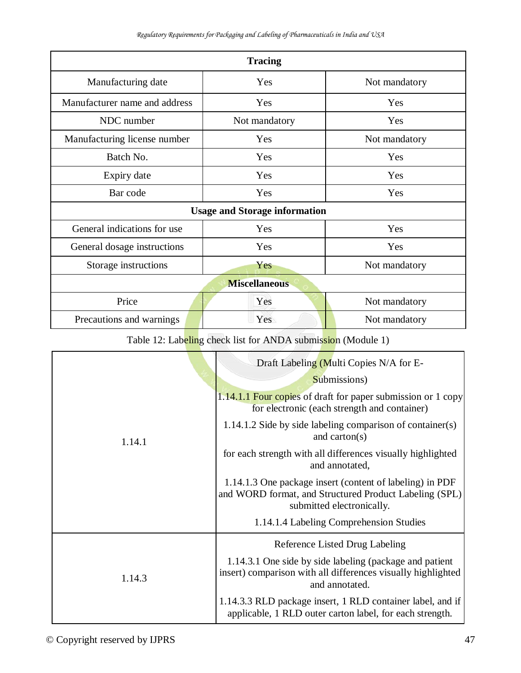| <b>Tracing</b>                       |               |               |
|--------------------------------------|---------------|---------------|
| Manufacturing date                   | Yes           | Not mandatory |
| Manufacturer name and address        | Yes           | Yes           |
| NDC number                           | Not mandatory | Yes           |
| Manufacturing license number         | Yes           | Not mandatory |
| Batch No.                            | Yes           | Yes           |
| Expiry date                          | Yes           | Yes           |
| Bar code                             | Yes           | Yes           |
| <b>Usage and Storage information</b> |               |               |
| General indications for use          | Yes           | Yes           |
| General dosage instructions          | Yes           | Yes           |
| Storage instructions                 | Yes           | Not mandatory |
| <b>Miscellaneous</b>                 |               |               |
| Price                                | Yes           | Not mandatory |
| Precautions and warnings             | Yes           | Not mandatory |

Table 12: Labeling check list for ANDA submission (Module 1)

|        | Draft Labeling (Multi Copies N/A for E-                                                                                                         |
|--------|-------------------------------------------------------------------------------------------------------------------------------------------------|
| 1.14.1 | Submissions)                                                                                                                                    |
|        | 1.14.1.1 Four copies of draft for paper submission or 1 copy<br>for electronic (each strength and container)                                    |
|        | 1.14.1.2 Side by side labeling comparison of container(s)<br>and carton( $s$ )                                                                  |
|        | for each strength with all differences visually highlighted<br>and annotated,                                                                   |
|        | 1.14.1.3 One package insert (content of labeling) in PDF<br>and WORD format, and Structured Product Labeling (SPL)<br>submitted electronically. |
|        | 1.14.1.4 Labeling Comprehension Studies                                                                                                         |
|        | Reference Listed Drug Labeling                                                                                                                  |
| 1.14.3 | 1.14.3.1 One side by side labeling (package and patient<br>insert) comparison with all differences visually highlighted<br>and annotated.       |
|        | 1.14.3.3 RLD package insert, 1 RLD container label, and if<br>applicable, 1 RLD outer carton label, for each strength.                          |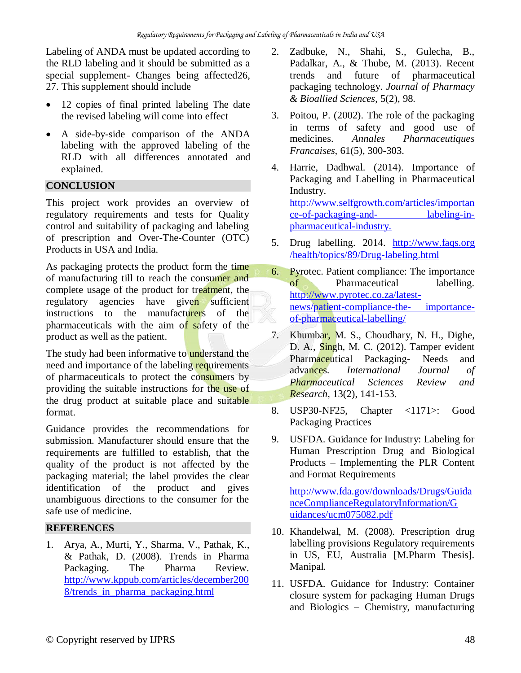Labeling of ANDA must be updated according to the RLD labeling and it should be submitted as a special supplement- Changes being affected26, 27. This supplement should include

- 12 copies of final printed labeling The date the revised labeling will come into effect
- A side-by-side comparison of the ANDA labeling with the approved labeling of the RLD with all differences annotated and explained.

## **CONCLUSION**

This project work provides an overview of regulatory requirements and tests for Quality control and suitability of packaging and labeling of prescription and Over-The-Counter (OTC) Products in USA and India.

As packaging protects the product form the time of manufacturing till to reach the consumer and complete usage of the product for treatment, the regulatory agencies have given sufficient instructions to the manufacturers of the pharmaceuticals with the aim of safety of the product as well as the patient.

The study had been informative to **understand** the need and importance of the labeling requirements of pharmaceuticals to protect the consumers by providing the suitable instructions for the use of the drug product at suitable place and suitable format.

Guidance provides the recommendations for submission. Manufacturer should ensure that the requirements are fulfilled to establish, that the quality of the product is not affected by the packaging material; the label provides the clear identification of the product and gives unambiguous directions to the consumer for the safe use of medicine.

## **REFERENCES**

1. Arya, A., Murti, Y., Sharma, V., Pathak, K., & Pathak, D. (2008). Trends in Pharma Packaging. The Pharma Review. [http://www.kppub.com/articles/december200](http://www.kppub.com/articles/december2008/trends_in_pharma_packaging.html) [8/trends\\_in\\_pharma\\_packaging.html](http://www.kppub.com/articles/december2008/trends_in_pharma_packaging.html)

- 2. Zadbuke, N., Shahi, S., Gulecha, B., Padalkar, A., & Thube, M. (2013). Recent trends and future of pharmaceutical packaging technology. *Journal of Pharmacy & Bioallied Sciences*, 5(2), 98.
- 3. Poitou, P. (2002). The role of the packaging in terms of safety and good use of medicines. *Annales Pharmaceutiques Francaises,* 61(5), 300-303.
- 4. Harrie, Dadhwal. (2014). Importance of Packaging and Labelling in Pharmaceutical Industry. [http://www.selfgrowth.com/articles/importan](http://www.selfgrowth.com/articles/importance-of-packaging-and-labeling-in-pharmaceutical-industry) [ce-of-packaging-and-](http://www.selfgrowth.com/articles/importance-of-packaging-and-labeling-in-pharmaceutical-industry) [labeling-in](http://www.selfgrowth.com/articles/importance-of-packaging-and-labeling-in-pharmaceutical-industry)[pharmaceutical-industry.](http://www.selfgrowth.com/articles/importance-of-packaging-and-labeling-in-pharmaceutical-industry)
- 5. Drug labelling. 2014. http://www.faqs.org /health/topics/89/Drug-labeling.html
- 6. Pyrotec. Patient compliance: The importance of Pharmaceutical labelling. [http://www.pyrotec.co.za/latest](http://www.pyrotec.co.za/latest-news/patient-compliance-the-importance-of-pharmaceutical-labelling/)[news/patient-compliance-the-](http://www.pyrotec.co.za/latest-news/patient-compliance-the-importance-of-pharmaceutical-labelling/) [importance](http://www.pyrotec.co.za/latest-news/patient-compliance-the-importance-of-pharmaceutical-labelling/)[of-pharmaceutical-labelling/](http://www.pyrotec.co.za/latest-news/patient-compliance-the-importance-of-pharmaceutical-labelling/)
- 7. Khumbar, M. S., Choudhary, N. H., Dighe, D. A., Singh, M. C. (2012). Tamper evident Pharmaceutical Packaging- Needs and advances. *International Journal of Pharmaceutical Sciences Review and Research*, 13(2), 141-153.
- 8. USP30-NF25, Chapter <1171>: Good Packaging Practices
- 9. USFDA. Guidance for Industry: Labeling for Human Prescription Drug and Biological Products – Implementing the PLR Content and Format Requirements

[http://www.fda.gov/downloads/Drugs/Guida](http://www.fda.gov/downloads/Drugs/GuidanceComplianceRegulatoryInformation/G) [nceComplianceRegulatoryInformation/G](http://www.fda.gov/downloads/Drugs/GuidanceComplianceRegulatoryInformation/G)  [uidances/ucm075082.pdf](http://www.fda.gov/downloads/Drugs/GuidanceComplianceRegulatoryInformation/Guidances/ucm075082.pdf)

- 10. Khandelwal, M. (2008). Prescription drug labelling provisions Regulatory requirements in US, EU, Australia [M.Pharm Thesis]. Manipal.
- 11. USFDA. Guidance for Industry: Container closure system for packaging Human Drugs and Biologics – Chemistry, manufacturing